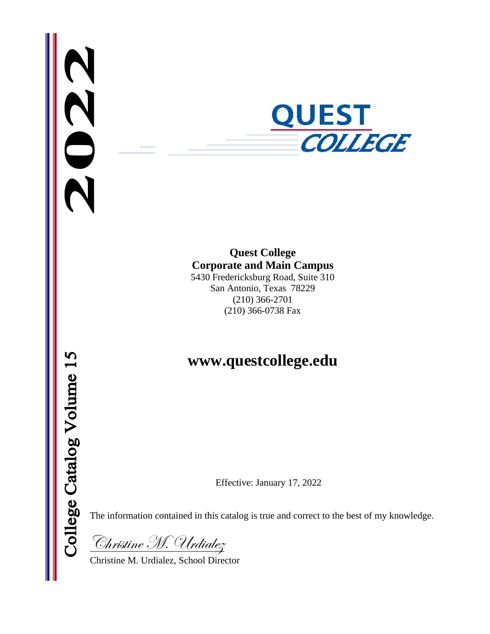

# **Quest College Corporate and Main Campus**

5430 Fredericksburg Road, Suite 310 San Antonio, Texas 78229 (210) 366-2701 (210) 366-0738 Fax

# **www.questcollege.edu**

Effective: January 17, 2022

The information contained in this catalog is true and correct to the best of my knowledge.

Christine M. Urdialez

Christine M. Urdialez, School Director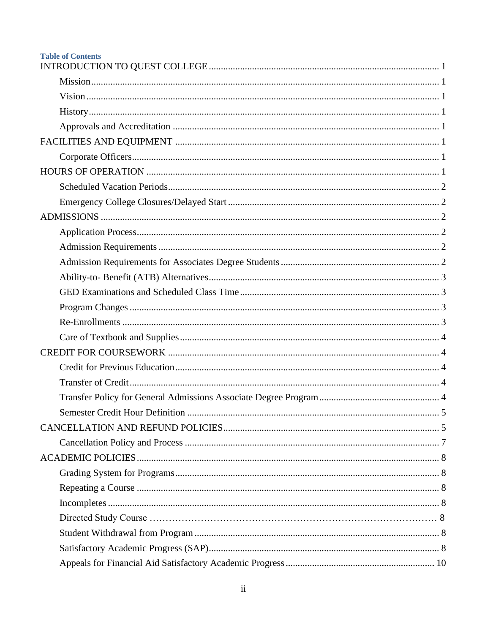| <b>Table of Contents</b> |  |
|--------------------------|--|
|                          |  |
|                          |  |
|                          |  |
|                          |  |
|                          |  |
|                          |  |
|                          |  |
|                          |  |
|                          |  |
|                          |  |
|                          |  |
|                          |  |
|                          |  |
|                          |  |
|                          |  |
|                          |  |
|                          |  |
|                          |  |
|                          |  |
|                          |  |
|                          |  |
|                          |  |
|                          |  |
|                          |  |
|                          |  |
|                          |  |
|                          |  |
|                          |  |
|                          |  |
|                          |  |
|                          |  |
|                          |  |
|                          |  |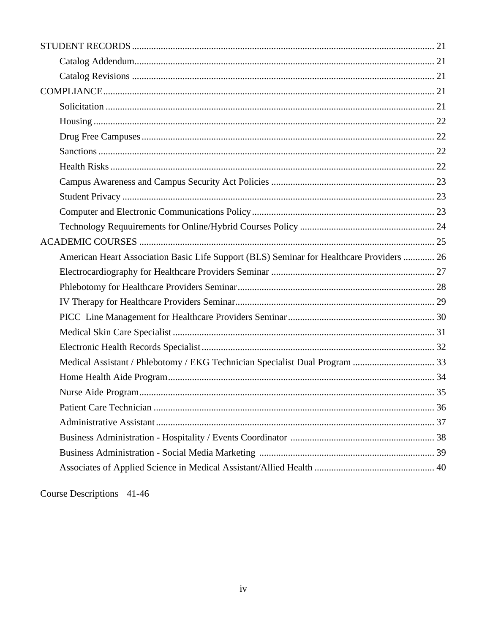| American Heart Association Basic Life Support (BLS) Seminar for Healthcare Providers  26 |  |
|------------------------------------------------------------------------------------------|--|
|                                                                                          |  |
|                                                                                          |  |
|                                                                                          |  |
|                                                                                          |  |
|                                                                                          |  |
|                                                                                          |  |
| Medical Assistant / Phlebotomy / EKG Technician Specialist Dual Program  33              |  |
|                                                                                          |  |
|                                                                                          |  |
|                                                                                          |  |
|                                                                                          |  |
|                                                                                          |  |
|                                                                                          |  |
|                                                                                          |  |

Course Descriptions 41-46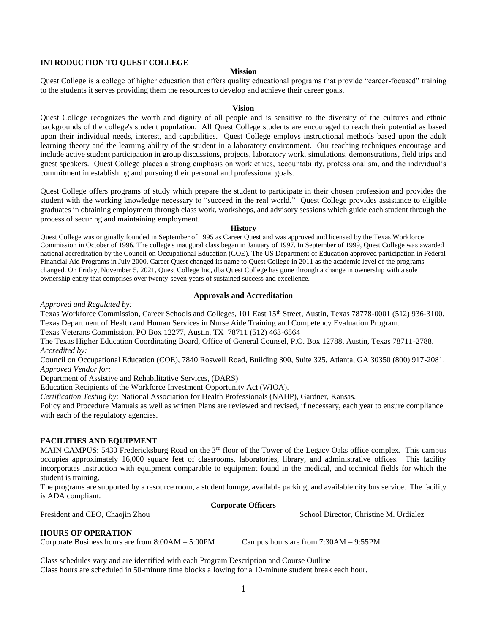## <span id="page-4-1"></span><span id="page-4-0"></span>**INTRODUCTION TO QUEST COLLEGE**

## **Mission**

Quest College is a college of higher education that offers quality educational programs that provide "career-focused" training to the students it serves providing them the resources to develop and achieve their career goals.

### **Vision**

<span id="page-4-2"></span>Quest College recognizes the worth and dignity of all people and is sensitive to the diversity of the cultures and ethnic backgrounds of the college's student population. All Quest College students are encouraged to reach their potential as based upon their individual needs, interest, and capabilities. Quest College employs instructional methods based upon the adult learning theory and the learning ability of the student in a laboratory environment. Our teaching techniques encourage and include active student participation in group discussions, projects, laboratory work, simulations, demonstrations, field trips and guest speakers. Quest College places a strong emphasis on work ethics, accountability, professionalism, and the individual's commitment in establishing and pursuing their personal and professional goals.

Quest College offers programs of study which prepare the student to participate in their chosen profession and provides the student with the working knowledge necessary to "succeed in the real world." Quest College provides assistance to eligible graduates in obtaining employment through class work, workshops, and advisory sessions which guide each student through the process of securing and maintaining employment.

### **History**

<span id="page-4-3"></span>Quest College was originally founded in September of 1995 as Career Quest and was approved and licensed by the Texas Workforce Commission in October of 1996. The college's inaugural class began in January of 1997. In September of 1999, Quest College was awarded national accreditation by the Council on Occupational Education (COE). The US Department of Education approved participation in Federal Financial Aid Programs in July 2000. Career Quest changed its name to Quest College in 2011 as the academic level of the programs changed. On Friday, November 5, 2021, Quest College Inc, dba Quest College has gone through a change in ownership with a sole ownership entity that comprises over twenty-seven years of sustained success and excellence.

### **Approvals and Accreditation**

<span id="page-4-4"></span>*Approved and Regulated by:* 

Texas Workforce Commission, Career Schools and Colleges, 101 East 15th Street, Austin, Texas 78778-0001 (512) 936-3100. Texas Department of Health and Human Services in Nurse Aide Training and Competency Evaluation Program.

Texas Veterans Commission, PO Box 12277, Austin, TX 78711 (512) 463-6564

The Texas Higher Education Coordinating Board, Office of General Counsel, P.O. Box 12788, Austin, Texas 78711-2788. *Accredited by:* 

Council on Occupational Education (COE), 7840 Roswell Road, Building 300, Suite 325, Atlanta, GA 30350 (800) 917-2081. *Approved Vendor for:* 

Department of Assistive and Rehabilitative Services, (DARS)

Education Recipients of the Workforce Investment Opportunity Act (WIOA).

*Certification Testing by:* National Association for Health Professionals (NAHP), Gardner, Kansas.

Policy and Procedure Manuals as well as written Plans are reviewed and revised, if necessary, each year to ensure compliance with each of the regulatory agencies.

## <span id="page-4-5"></span>**FACILITIES AND EQUIPMENT**

MAIN CAMPUS: 5430 Fredericksburg Road on the 3<sup>rd</sup> floor of the Tower of the Legacy Oaks office complex. This campus occupies approximately 16,000 square feet of classrooms, laboratories, library, and administrative offices. This facility incorporates instruction with equipment comparable to equipment found in the medical, and technical fields for which the student is training.

The programs are supported by a resource room, a student lounge, available parking, and available city bus service. The facility is ADA compliant.

## **Corporate Officers**

## <span id="page-4-6"></span>President and CEO, Chaojin Zhou School Director, Christine M. Urdialez

## **HOURS OF OPERATION**

Corporate Business hours are from 8:00AM – 5:00PM Campus hours are from 7:30AM – 9:55PM

Class schedules vary and are identified with each Program Description and Course Outline Class hours are scheduled in 50-minute time blocks allowing for a 10-minute student break each hour.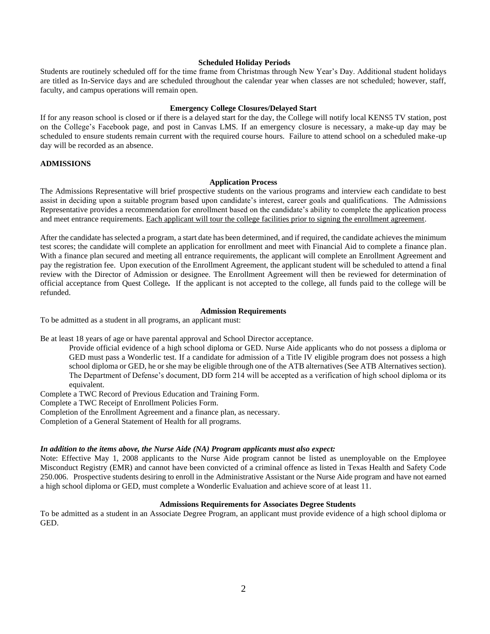## <span id="page-5-0"></span>**Scheduled Holiday Periods**

Students are routinely scheduled off for the time frame from Christmas through New Year's Day. Additional student holidays are titled as In-Service days and are scheduled throughout the calendar year when classes are not scheduled; however, staff, faculty, and campus operations will remain open.

### **Emergency College Closures/Delayed Start**

<span id="page-5-1"></span>If for any reason school is closed or if there is a delayed start for the day, the College will notify local KENS5 TV station, post on the College's Facebook page, and post in Canvas LMS. If an emergency closure is necessary, a make-up day may be scheduled to ensure students remain current with the required course hours. Failure to attend school on a scheduled make-up day will be recorded as an absence.

## <span id="page-5-2"></span>**ADMISSIONS**

## **Application Process**

<span id="page-5-3"></span>The Admissions Representative will brief prospective students on the various programs and interview each candidate to best assist in deciding upon a suitable program based upon candidate's interest, career goals and qualifications. The Admissions Representative provides a recommendation for enrollment based on the candidate's ability to complete the application process and meet entrance requirements. Each applicant will tour the college facilities prior to signing the enrollment agreement.

After the candidate has selected a program, a start date has been determined, and if required, the candidate achieves the minimum test scores; the candidate will complete an application for enrollment and meet with Financial Aid to complete a finance plan. With a finance plan secured and meeting all entrance requirements, the applicant will complete an Enrollment Agreement and pay the registration fee. Upon execution of the Enrollment Agreement, the applicant student will be scheduled to attend a final review with the Director of Admission or designee. The Enrollment Agreement will then be reviewed for determination of official acceptance from Quest College*.* If the applicant is not accepted to the college, all funds paid to the college will be refunded.

## **Admission Requirements**

<span id="page-5-4"></span>To be admitted as a student in all programs, an applicant must:

Be at least 18 years of age or have parental approval and School Director acceptance.

Provide official evidence of a high school diploma or GED. Nurse Aide applicants who do not possess a diploma or GED must pass a Wonderlic test. If a candidate for admission of a Title IV eligible program does not possess a high school diploma or GED, he or she may be eligible through one of the ATB alternatives (See ATB Alternatives section). The Department of Defense's document, DD form 214 will be accepted as a verification of high school diploma or its equivalent.

Complete a TWC Record of Previous Education and Training Form.

Complete a TWC Receipt of Enrollment Policies Form.

Completion of the Enrollment Agreement and a finance plan, as necessary.

Completion of a General Statement of Health for all programs.

### *In addition to the items above, the Nurse Aide (NA) Program applicants must also expect:*

Note: Effective May 1, 2008 applicants to the Nurse Aide program cannot be listed as unemployable on the Employee Misconduct Registry (EMR) and cannot have been convicted of a criminal offence as listed in Texas Health and Safety Code 250.006. Prospective students desiring to enroll in the Administrative Assistant or the Nurse Aide program and have not earned a high school diploma or GED, must complete a Wonderlic Evaluation and achieve score of at least 11.

## **Admissions Requirements for Associates Degree Students**

To be admitted as a student in an Associate Degree Program, an applicant must provide evidence of a high school diploma or GED.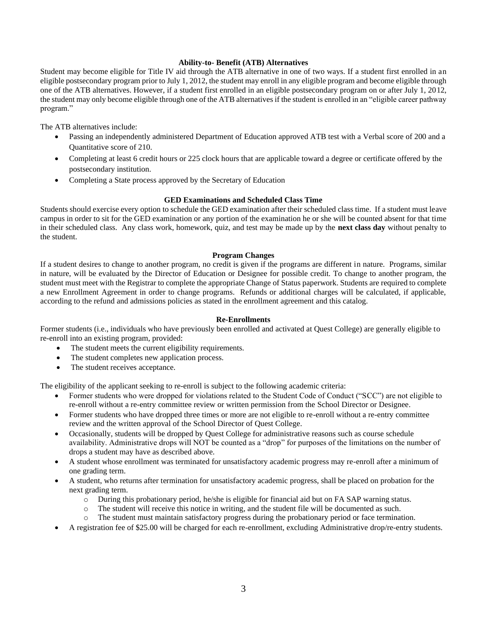## **Ability-to- Benefit (ATB) Alternatives**

Student may become eligible for Title IV aid through the ATB alternative in one of two ways. If a student first enrolled in an eligible postsecondary program prior to July 1, 2012, the student may enroll in any eligible program and become eligible through one of the ATB alternatives. However, if a student first enrolled in an eligible postsecondary program on or after July 1, 2012, the student may only become eligible through one of the ATB alternatives if the student is enrolled in an "eligible career pathway program."

The ATB alternatives include:

- Passing an independently administered Department of Education approved ATB test with a Verbal score of 200 and a Quantitative score of 210.
- Completing at least 6 credit hours or 225 clock hours that are applicable toward a degree or certificate offered by the postsecondary institution.
- Completing a State process approved by the Secretary of Education

## **GED Examinations and Scheduled Class Time**

Students should exercise every option to schedule the GED examination after their scheduled class time. If a student must leave campus in order to sit for the GED examination or any portion of the examination he or she will be counted absent for that time in their scheduled class. Any class work, homework, quiz, and test may be made up by the **next class day** without penalty to the student.

## **Program Changes**

<span id="page-6-0"></span>If a student desires to change to another program, no credit is given if the programs are different in nature. Programs, similar in nature, will be evaluated by the Director of Education or Designee for possible credit. To change to another program, the student must meet with the Registrar to complete the appropriate Change of Status paperwork. Students are required to complete a new Enrollment Agreement in order to change programs. Refunds or additional charges will be calculated, if applicable, according to the refund and admissions policies as stated in the enrollment agreement and this catalog.

### **Re-Enrollments**

<span id="page-6-1"></span>Former students (i.e., individuals who have previously been enrolled and activated at Quest College) are generally eligible to re-enroll into an existing program, provided:

- The student meets the current eligibility requirements.
- The student completes new application process.
- The student receives acceptance.

The eligibility of the applicant seeking to re-enroll is subject to the following academic criteria:

- Former students who were dropped for violations related to the Student Code of Conduct ("SCC") are not eligible to re-enroll without a re-entry committee review or written permission from the School Director or Designee.
- Former students who have dropped three times or more are not eligible to re-enroll without a re-entry committee review and the written approval of the School Director of Quest College.
- Occasionally, students will be dropped by Quest College for administrative reasons such as course schedule availability. Administrative drops will NOT be counted as a "drop" for purposes of the limitations on the number of drops a student may have as described above.
- A student whose enrollment was terminated for unsatisfactory academic progress may re-enroll after a minimum of one grading term.
- A student, who returns after termination for unsatisfactory academic progress, shall be placed on probation for the next grading term.
	- o During this probationary period, he/she is eligible for financial aid but on FA SAP warning status.
	- o The student will receive this notice in writing, and the student file will be documented as such.
	- The student must maintain satisfactory progress during the probationary period or face termination.
- A registration fee of \$25.00 will be charged for each re-enrollment, excluding Administrative drop/re-entry students.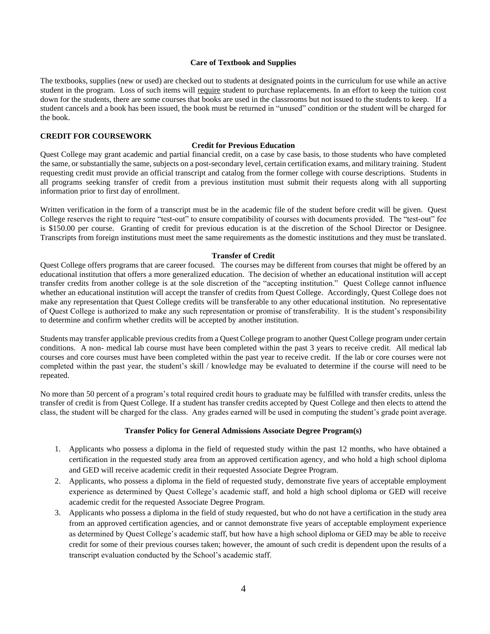## **Care of Textbook and Supplies**

<span id="page-7-0"></span>The textbooks, supplies (new or used) are checked out to students at designated points in the curriculum for use while an active student in the program. Loss of such items will require student to purchase replacements. In an effort to keep the tuition cost down for the students, there are some courses that books are used in the classrooms but not issued to the students to keep. If a student cancels and a book has been issued, the book must be returned in "unused" condition or the student will be charged for the book.

## <span id="page-7-2"></span><span id="page-7-1"></span>**CREDIT FOR COURSEWORK**

## **Credit for Previous Education**

Quest College may grant academic and partial financial credit, on a case by case basis, to those students who have completed the same, or substantially the same, subjects on a post-secondary level, certain certification exams, and military training. Student requesting credit must provide an official transcript and catalog from the former college with course descriptions. Students in all programs seeking transfer of credit from a previous institution must submit their requests along with all supporting information prior to first day of enrollment.

Written verification in the form of a transcript must be in the academic file of the student before credit will be given. Quest College reserves the right to require "test-out" to ensure compatibility of courses with documents provided. The "test-out" fee is \$150.00 per course. Granting of credit for previous education is at the discretion of the School Director or Designee. Transcripts from foreign institutions must meet the same requirements as the domestic institutions and they must be translated.

## **Transfer of Credit**

<span id="page-7-3"></span>Quest College offers programs that are career focused. The courses may be different from courses that might be offered by an educational institution that offers a more generalized education. The decision of whether an educational institution will accept transfer credits from another college is at the sole discretion of the "accepting institution." Quest College cannot influence whether an educational institution will accept the transfer of credits from Quest College. Accordingly, Quest College does not make any representation that Quest College credits will be transferable to any other educational institution. No representative of Quest College is authorized to make any such representation or promise of transferability. It is the student's responsibility to determine and confirm whether credits will be accepted by another institution.

Students may transfer applicable previous credits from a Quest College program to another Quest College program under certain conditions. A non- medical lab course must have been completed within the past 3 years to receive credit. All medical lab courses and core courses must have been completed within the past year to receive credit. If the lab or core courses were not completed within the past year, the student's skill / knowledge may be evaluated to determine if the course will need to be repeated.

No more than 50 percent of a program's total required credit hours to graduate may be fulfilled with transfer credits, unless the transfer of credit is from Quest College. If a student has transfer credits accepted by Quest College and then elects to attend the class, the student will be charged for the class. Any grades earned will be used in computing the student's grade point average.

### **Transfer Policy for General Admissions Associate Degree Program(s)**

- 1. Applicants who possess a diploma in the field of requested study within the past 12 months, who have obtained a certification in the requested study area from an approved certification agency, and who hold a high school diploma and GED will receive academic credit in their requested Associate Degree Program.
- 2. Applicants, who possess a diploma in the field of requested study, demonstrate five years of acceptable employment experience as determined by Quest College's academic staff, and hold a high school diploma or GED will receive academic credit for the requested Associate Degree Program.
- 3. Applicants who possess a diploma in the field of study requested, but who do not have a certification in the study area from an approved certification agencies, and or cannot demonstrate five years of acceptable employment experience as determined by Quest College's academic staff, but how have a high school diploma or GED may be able to receive credit for some of their previous courses taken; however, the amount of such credit is dependent upon the results of a transcript evaluation conducted by the School's academic staff.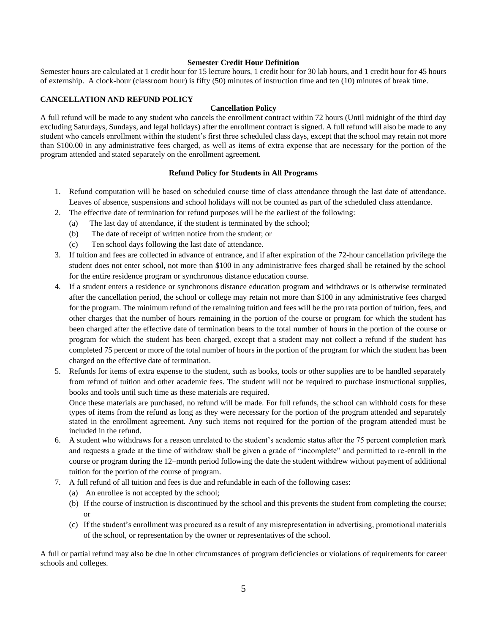## **Semester Credit Hour Definition**

<span id="page-8-0"></span>Semester hours are calculated at 1 credit hour for 15 lecture hours, 1 credit hour for 30 lab hours, and 1 credit hour for 45 hours of externship. A clock-hour (classroom hour) is fifty (50) minutes of instruction time and ten (10) minutes of break time.

## <span id="page-8-1"></span>**CANCELLATION AND REFUND POLICY**

## **Cancellation Policy**

A full refund will be made to any student who cancels the enrollment contract within 72 hours (Until midnight of the third day excluding Saturdays, Sundays, and legal holidays) after the enrollment contract is signed. A full refund will also be made to any student who cancels enrollment within the student's first three scheduled class days, except that the school may retain not more than \$100.00 in any administrative fees charged, as well as items of extra expense that are necessary for the portion of the program attended and stated separately on the enrollment agreement.

## **Refund Policy for Students in All Programs**

- 1. Refund computation will be based on scheduled course time of class attendance through the last date of attendance. Leaves of absence, suspensions and school holidays will not be counted as part of the scheduled class attendance.
- 2. The effective date of termination for refund purposes will be the earliest of the following:
	- (a) The last day of attendance, if the student is terminated by the school;
	- (b) The date of receipt of written notice from the student; or
	- (c) Ten school days following the last date of attendance.
- 3. If tuition and fees are collected in advance of entrance, and if after expiration of the 72-hour cancellation privilege the student does not enter school, not more than \$100 in any administrative fees charged shall be retained by the school for the entire residence program or synchronous distance education course.
- 4. If a student enters a residence or synchronous distance education program and withdraws or is otherwise terminated after the cancellation period, the school or college may retain not more than \$100 in any administrative fees charged for the program. The minimum refund of the remaining tuition and fees will be the pro rata portion of tuition, fees, and other charges that the number of hours remaining in the portion of the course or program for which the student has been charged after the effective date of termination bears to the total number of hours in the portion of the course or program for which the student has been charged, except that a student may not collect a refund if the student has completed 75 percent or more of the total number of hours in the portion of the program for which the student has been charged on the effective date of termination.
- 5. Refunds for items of extra expense to the student, such as books, tools or other supplies are to be handled separately from refund of tuition and other academic fees. The student will not be required to purchase instructional supplies, books and tools until such time as these materials are required.

Once these materials are purchased, no refund will be made. For full refunds, the school can withhold costs for these types of items from the refund as long as they were necessary for the portion of the program attended and separately stated in the enrollment agreement. Any such items not required for the portion of the program attended must be included in the refund.

- 6. A student who withdraws for a reason unrelated to the student's academic status after the 75 percent completion mark and requests a grade at the time of withdraw shall be given a grade of "incomplete" and permitted to re-enroll in the course or program during the 12–month period following the date the student withdrew without payment of additional tuition for the portion of the course of program.
- 7. A full refund of all tuition and fees is due and refundable in each of the following cases:
	- (a) An enrollee is not accepted by the school;
	- (b) If the course of instruction is discontinued by the school and this prevents the student from completing the course; or
	- (c) If the student's enrollment was procured as a result of any misrepresentation in advertising, promotional materials of the school, or representation by the owner or representatives of the school.

A full or partial refund may also be due in other circumstances of program deficiencies or violations of requirements for career schools and colleges.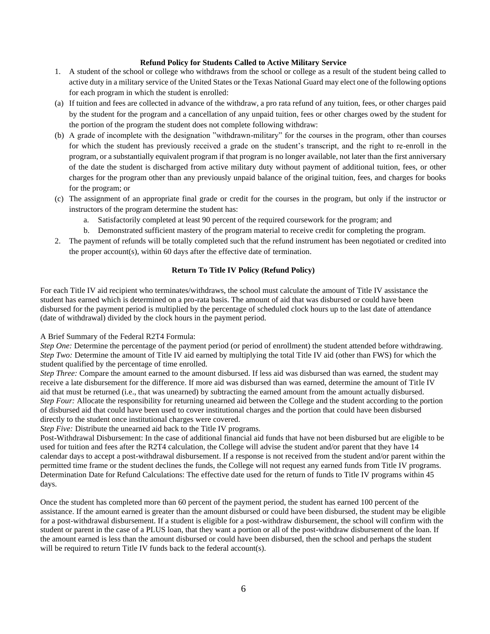## **Refund Policy for Students Called to Active Military Service**

- 1. A student of the school or college who withdraws from the school or college as a result of the student being called to active duty in a military service of the United States or the Texas National Guard may elect one of the following options for each program in which the student is enrolled:
- (a) If tuition and fees are collected in advance of the withdraw, a pro rata refund of any tuition, fees, or other charges paid by the student for the program and a cancellation of any unpaid tuition, fees or other charges owed by the student for the portion of the program the student does not complete following withdraw:
- (b) A grade of incomplete with the designation "withdrawn-military" for the courses in the program, other than courses for which the student has previously received a grade on the student's transcript, and the right to re-enroll in the program, or a substantially equivalent program if that program is no longer available, not later than the first anniversary of the date the student is discharged from active military duty without payment of additional tuition, fees, or other charges for the program other than any previously unpaid balance of the original tuition, fees, and charges for books for the program; or
- (c) The assignment of an appropriate final grade or credit for the courses in the program, but only if the instructor or instructors of the program determine the student has:
	- a. Satisfactorily completed at least 90 percent of the required coursework for the program; and
	- b. Demonstrated sufficient mastery of the program material to receive credit for completing the program.
- 2. The payment of refunds will be totally completed such that the refund instrument has been negotiated or credited into the proper account(s), within 60 days after the effective date of termination.

## **Return To Title IV Policy (Refund Policy)**

For each Title IV aid recipient who terminates/withdraws, the school must calculate the amount of Title IV assistance the student has earned which is determined on a pro-rata basis. The amount of aid that was disbursed or could have been disbursed for the payment period is multiplied by the percentage of scheduled clock hours up to the last date of attendance (date of withdrawal) divided by the clock hours in the payment period.

A Brief Summary of the Federal R2T4 Formula:

*Step One:* Determine the percentage of the payment period (or period of enrollment) the student attended before withdrawing. *Step Two:* Determine the amount of Title IV aid earned by multiplying the total Title IV aid (other than FWS) for which the student qualified by the percentage of time enrolled.

*Step Three:* Compare the amount earned to the amount disbursed. If less aid was disbursed than was earned, the student may receive a late disbursement for the difference. If more aid was disbursed than was earned, determine the amount of Title IV aid that must be returned (i.e., that was unearned) by subtracting the earned amount from the amount actually disbursed. *Step Four:* Allocate the responsibility for returning unearned aid between the College and the student according to the portion of disbursed aid that could have been used to cover institutional charges and the portion that could have been disbursed directly to the student once institutional charges were covered.

*Step Five:* Distribute the unearned aid back to the Title IV programs.

Post-Withdrawal Disbursement: In the case of additional financial aid funds that have not been disbursed but are eligible to be used for tuition and fees after the R2T4 calculation, the College will advise the student and/or parent that they have 14 calendar days to accept a post-withdrawal disbursement. If a response is not received from the student and/or parent within the permitted time frame or the student declines the funds, the College will not request any earned funds from Title IV programs. Determination Date for Refund Calculations: The effective date used for the return of funds to Title IV programs within 45 days.

Once the student has completed more than 60 percent of the payment period, the student has earned 100 percent of the assistance. If the amount earned is greater than the amount disbursed or could have been disbursed, the student may be eligible for a post-withdrawal disbursement. If a student is eligible for a post-withdraw disbursement, the school will confirm with the student or parent in the case of a PLUS loan, that they want a portion or all of the post-withdraw disbursement of the loan. If the amount earned is less than the amount disbursed or could have been disbursed, then the school and perhaps the student will be required to return Title IV funds back to the federal account(s).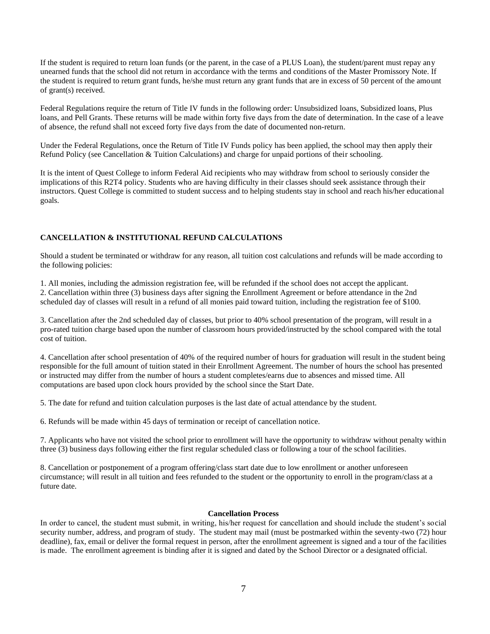If the student is required to return loan funds (or the parent, in the case of a PLUS Loan), the student/parent must repay any unearned funds that the school did not return in accordance with the terms and conditions of the Master Promissory Note. If the student is required to return grant funds, he/she must return any grant funds that are in excess of 50 percent of the amount of grant(s) received.

Federal Regulations require the return of Title IV funds in the following order: Unsubsidized loans, Subsidized loans, Plus loans, and Pell Grants. These returns will be made within forty five days from the date of determination. In the case of a leave of absence, the refund shall not exceed forty five days from the date of documented non-return.

Under the Federal Regulations, once the Return of Title IV Funds policy has been applied, the school may then apply their Refund Policy (see Cancellation & Tuition Calculations) and charge for unpaid portions of their schooling.

It is the intent of Quest College to inform Federal Aid recipients who may withdraw from school to seriously consider the implications of this R2T4 policy. Students who are having difficulty in their classes should seek assistance through their instructors. Quest College is committed to student success and to helping students stay in school and reach his/her educational goals.

## **CANCELLATION & INSTITUTIONAL REFUND CALCULATIONS**

Should a student be terminated or withdraw for any reason, all tuition cost calculations and refunds will be made according to the following policies:

1. All monies, including the admission registration fee, will be refunded if the school does not accept the applicant. 2. Cancellation within three (3) business days after signing the Enrollment Agreement or before attendance in the 2nd scheduled day of classes will result in a refund of all monies paid toward tuition, including the registration fee of \$100.

3. Cancellation after the 2nd scheduled day of classes, but prior to 40% school presentation of the program, will result in a pro-rated tuition charge based upon the number of classroom hours provided/instructed by the school compared with the total cost of tuition.

4. Cancellation after school presentation of 40% of the required number of hours for graduation will result in the student being responsible for the full amount of tuition stated in their Enrollment Agreement. The number of hours the school has presented or instructed may differ from the number of hours a student completes/earns due to absences and missed time. All computations are based upon clock hours provided by the school since the Start Date.

5. The date for refund and tuition calculation purposes is the last date of actual attendance by the student.

6. Refunds will be made within 45 days of termination or receipt of cancellation notice.

7. Applicants who have not visited the school prior to enrollment will have the opportunity to withdraw without penalty within three (3) business days following either the first regular scheduled class or following a tour of the school facilities.

8. Cancellation or postponement of a program offering/class start date due to low enrollment or another unforeseen circumstance; will result in all tuition and fees refunded to the student or the opportunity to enroll in the program/class at a future date.

## **Cancellation Process**

<span id="page-10-0"></span>In order to cancel, the student must submit, in writing, his/her request for cancellation and should include the student's social security number, address, and program of study. The student may mail (must be postmarked within the seventy-two (72) hour deadline), fax, email or deliver the formal request in person, after the enrollment agreement is signed and a tour of the facilities is made. The enrollment agreement is binding after it is signed and dated by the School Director or a designated official.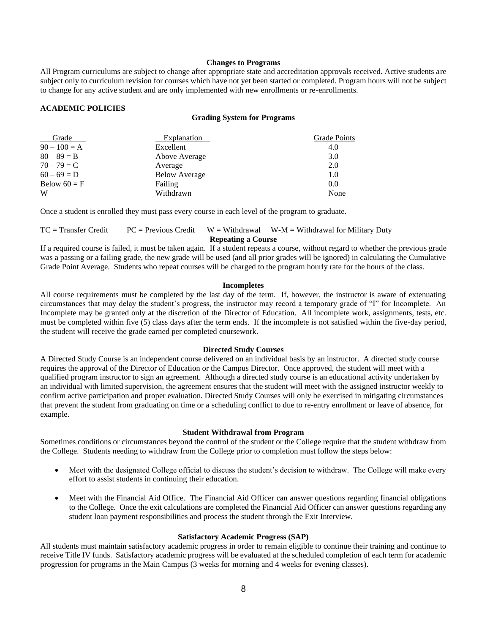### **Changes to Programs**

All Program curriculums are subject to change after appropriate state and accreditation approvals received. Active students are subject only to curriculum revision for courses which have not yet been started or completed. Program hours will not be subject to change for any active student and are only implemented with new enrollments or re-enrollments.

## <span id="page-11-1"></span><span id="page-11-0"></span>**ACADEMIC POLICIES**

### **Grading System for Programs**

| Grade          | <b>Explanation</b>   | Grade Points |
|----------------|----------------------|--------------|
| $90 - 100 = A$ | Excellent            | 4.0          |
| $80 - 89 = B$  | Above Average        | 3.0          |
| $70 - 79 = C$  | Average              | 2.0          |
| $60 - 69 = D$  | <b>Below Average</b> | 1.0          |
| Below $60 = F$ | Failing              | 0.0          |
| W              | Withdrawn            | None         |

Once a student is enrolled they must pass every course in each level of the program to graduate.

## <span id="page-11-2"></span> $TC = \text{Transfer Credit}$   $PC = \text{Previous Credit}$   $W = \text{Without } W - \text{M} = \text{Without } \text{of } W - \text{M}$ **Repeating a Course**

If a required course is failed, it must be taken again. If a student repeats a course, without regard to whether the previous grade was a passing or a failing grade, the new grade will be used (and all prior grades will be ignored) in calculating the Cumulative Grade Point Average. Students who repeat courses will be charged to the program hourly rate for the hours of the class.

### **Incompletes**

All course requirements must be completed by the last day of the term. If, however, the instructor is aware of extenuating circumstances that may delay the student's progress, the instructor may record a temporary grade of "I" for Incomplete. An Incomplete may be granted only at the discretion of the Director of Education. All incomplete work, assignments, tests, etc. must be completed within five (5) class days after the term ends. If the incomplete is not satisfied within the five-day period, the student will receive the grade earned per completed coursework.

### **Directed Study Courses**

A Directed Study Course is an independent course delivered on an individual basis by an instructor. A directed study course requires the approval of the Director of Education or the Campus Director. Once approved, the student will meet with a qualified program instructor to sign an agreement. Although a directed study course is an educational activity undertaken by an individual with limited supervision, the agreement ensures that the student will meet with the assigned instructor weekly to confirm active participation and proper evaluation. Directed Study Courses will only be exercised in mitigating circumstances that prevent the student from graduating on time or a scheduling conflict to due to re-entry enrollment or leave of absence, for example.

### **Student Withdrawal from Program**

Sometimes conditions or circumstances beyond the control of the student or the College require that the student withdraw from the College. Students needing to withdraw from the College prior to completion must follow the steps below:

- Meet with the designated College official to discuss the student's decision to withdraw. The College will make every effort to assist students in continuing their education.
- Meet with the Financial Aid Office. The Financial Aid Officer can answer questions regarding financial obligations to the College. Once the exit calculations are completed the Financial Aid Officer can answer questions regarding any student loan payment responsibilities and process the student through the Exit Interview.

## **Satisfactory Academic Progress (SAP)**

<span id="page-11-3"></span>All students must maintain satisfactory academic progress in order to remain eligible to continue their training and continue to receive Title IV funds. Satisfactory academic progress will be evaluated at the scheduled completion of each term for academic progression for programs in the Main Campus (3 weeks for morning and 4 weeks for evening classes).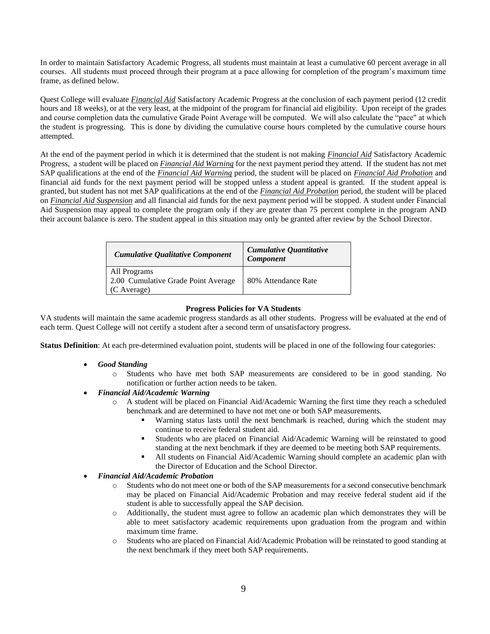In order to maintain Satisfactory Academic Progress, all students must maintain at least a cumulative 60 percent average in all courses. All students must proceed through their program at a pace allowing for completion of the program's maximum time frame, as defined below.

Quest College will evaluate *Financial Aid* Satisfactory Academic Progress at the conclusion of each payment period (12 credit hours and 18 weeks), or at the very least, at the midpoint of the program for financial aid eligibility. Upon receipt of the grades and course completion data the cumulative Grade Point Average will be computed. We will also calculate the "pace" at which the student is progressing. This is done by dividing the cumulative course hours completed by the cumulative course hours attempted.

At the end of the payment period in which it is determined that the student is not making *Financial Aid* Satisfactory Academic Progress, a student will be placed on *Financial Aid Warning* for the next payment period they attend. If the student has not met SAP qualifications at the end of the *Financial Aid Warning* period, the student will be placed on *Financial Aid Probation* and financial aid funds for the next payment period will be stopped unless a student appeal is granted. If the student appeal is granted, but student has not met SAP qualifications at the end of the *Financial Aid Probation* period, the student will be placed on *Financial Aid Suspension* and all financial aid funds for the next payment period will be stopped. A student under Financial Aid Suspension may appeal to complete the program only if they are greater than 75 percent complete in the program AND their account balance is zero. The student appeal in this situation may only be granted after review by the School Director.

| <b>Cumulative Qualitative Component</b>                            | Cumulative Quantitative<br>Component |
|--------------------------------------------------------------------|--------------------------------------|
| All Programs<br>2.00 Cumulative Grade Point Average<br>(C Average) | 80% Attendance Rate                  |

## **Progress Policies for VA Students**

VA students will maintain the same academic progress standards as all other students. Progress will be evaluated at the end of each term. Quest College will not certify a student after a second term of unsatisfactory progress.

**Status Definition**: At each pre-determined evaluation point, students will be placed in one of the following four categories:

- *Good Standing*
	- o Students who have met both SAP measurements are considered to be in good standing. No notification or further action needs to be taken.

## • *Financial Aid/Academic Warning*

- o A student will be placed on Financial Aid/Academic Warning the first time they reach a scheduled benchmark and are determined to have not met one or both SAP measurements.
	- Warning status lasts until the next benchmark is reached, during which the student may continue to receive federal student aid.
	- Students who are placed on Financial Aid/Academic Warning will be reinstated to good standing at the next benchmark if they are deemed to be meeting both SAP requirements.
	- All students on Financial Aid/Academic Warning should complete an academic plan with the Director of Education and the School Director.

## • *Financial Aid/Academic Probation*

- o Students who do not meet one or both of the SAP measurements for a second consecutive benchmark may be placed on Financial Aid/Academic Probation and may receive federal student aid if the student is able to successfully appeal the SAP decision.
- o Additionally, the student must agree to follow an academic plan which demonstrates they will be able to meet satisfactory academic requirements upon graduation from the program and within maximum time frame.
- o Students who are placed on Financial Aid/Academic Probation will be reinstated to good standing at the next benchmark if they meet both SAP requirements.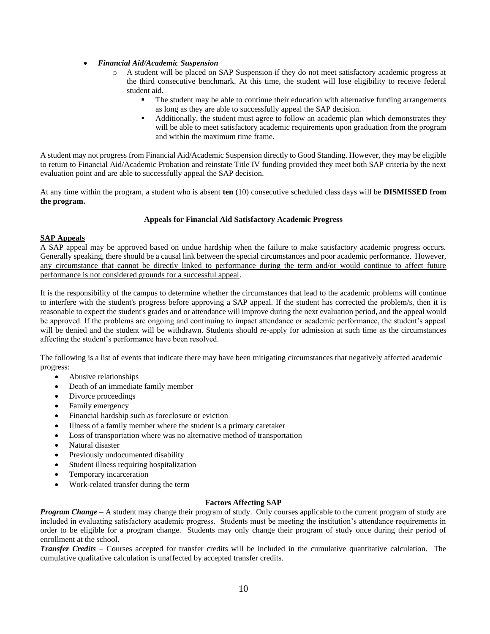## • *Financial Aid/Academic Suspension*

- o A student will be placed on SAP Suspension if they do not meet satisfactory academic progress at the third consecutive benchmark. At this time, the student will lose eligibility to receive federal student aid.
	- **•** The student may be able to continue their education with alternative funding arrangements as long as they are able to successfully appeal the SAP decision.
	- Additionally, the student must agree to follow an academic plan which demonstrates they will be able to meet satisfactory academic requirements upon graduation from the program and within the maximum time frame.

A student may not progress from Financial Aid/Academic Suspension directly to Good Standing. However, they may be eligible to return to Financial Aid/Academic Probation and reinstate Title IV funding provided they meet both SAP criteria by the next evaluation point and are able to successfully appeal the SAP decision.

At any time within the program, a student who is absent **ten** (10) consecutive scheduled class days will be **DISMISSED from the program.**

## **Appeals for Financial Aid Satisfactory Academic Progress**

## <span id="page-13-0"></span>**SAP Appeals**

A SAP appeal may be approved based on undue hardship when the failure to make satisfactory academic progress occurs. Generally speaking, there should be a causal link between the special circumstances and poor academic performance. However, any circumstance that cannot be directly linked to performance during the term and/or would continue to affect future performance is not considered grounds for a successful appeal.

It is the responsibility of the campus to determine whether the circumstances that lead to the academic problems will continue to interfere with the student's progress before approving a SAP appeal. If the student has corrected the problem/s, then it is reasonable to expect the student's grades and or attendance will improve during the next evaluation period, and the appeal would be approved. If the problems are ongoing and continuing to impact attendance or academic performance, the student's appeal will be denied and the student will be withdrawn. Students should re-apply for admission at such time as the circumstances affecting the student's performance have been resolved.

The following is a list of events that indicate there may have been mitigating circumstances that negatively affected academic progress:

- Abusive relationships
- Death of an immediate family member
- Divorce proceedings
- Family emergency
- Financial hardship such as foreclosure or eviction
- Illness of a family member where the student is a primary caretaker
- Loss of transportation where was no alternative method of transportation
- Natural disaster
- Previously undocumented disability
- Student illness requiring hospitalization
- Temporary incarceration
- Work-related transfer during the term

## **Factors Affecting SAP**

<span id="page-13-1"></span>*Program Change* – A student may change their program of study. Only courses applicable to the current program of study are included in evaluating satisfactory academic progress. Students must be meeting the institution's attendance requirements in order to be eligible for a program change. Students may only change their program of study once during their period of enrollment at the school.

*Transfer Credits* – Courses accepted for transfer credits will be included in the cumulative quantitative calculation. The cumulative qualitative calculation is unaffected by accepted transfer credits.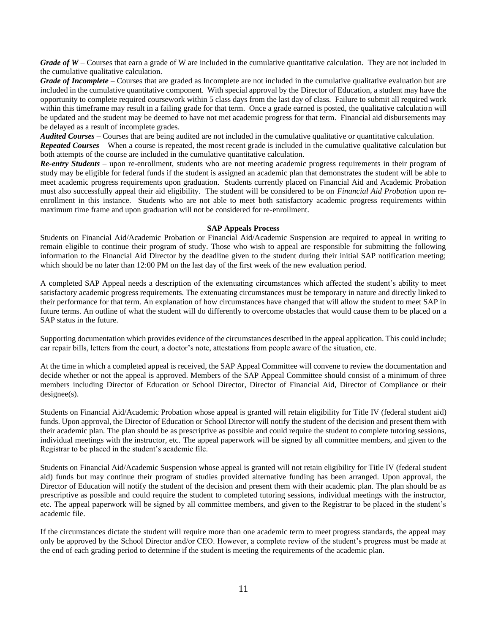*Grade of W* – Courses that earn a grade of W are included in the cumulative quantitative calculation. They are not included in the cumulative qualitative calculation.

*Grade of Incomplete* – Courses that are graded as Incomplete are not included in the cumulative qualitative evaluation but are included in the cumulative quantitative component. With special approval by the Director of Education, a student may have the opportunity to complete required coursework within 5 class days from the last day of class. Failure to submit all required work within this timeframe may result in a failing grade for that term. Once a grade earned is posted, the qualitative calculation will be updated and the student may be deemed to have not met academic progress for that term. Financial aid disbursements may be delayed as a result of incomplete grades.

*Audited Courses* – Courses that are being audited are not included in the cumulative qualitative or quantitative calculation.

*Repeated Courses* – When a course is repeated, the most recent grade is included in the cumulative qualitative calculation but both attempts of the course are included in the cumulative quantitative calculation.

*Re-entry Students* – upon re-enrollment, students who are not meeting academic progress requirements in their program of study may be eligible for federal funds if the student is assigned an academic plan that demonstrates the student will be able to meet academic progress requirements upon graduation. Students currently placed on Financial Aid and Academic Probation must also successfully appeal their aid eligibility. The student will be considered to be on *Financial Aid Probation* upon reenrollment in this instance. Students who are not able to meet both satisfactory academic progress requirements within maximum time frame and upon graduation will not be considered for re-enrollment.

## **SAP Appeals Process**

<span id="page-14-0"></span>Students on Financial Aid/Academic Probation or Financial Aid/Academic Suspension are required to appeal in writing to remain eligible to continue their program of study. Those who wish to appeal are responsible for submitting the following information to the Financial Aid Director by the deadline given to the student during their initial SAP notification meeting; which should be no later than 12:00 PM on the last day of the first week of the new evaluation period.

A completed SAP Appeal needs a description of the extenuating circumstances which affected the student's ability to meet satisfactory academic progress requirements. The extenuating circumstances must be temporary in nature and directly linked to their performance for that term. An explanation of how circumstances have changed that will allow the student to meet SAP in future terms. An outline of what the student will do differently to overcome obstacles that would cause them to be placed on a SAP status in the future.

Supporting documentation which provides evidence of the circumstances described in the appeal application. This could include; car repair bills, letters from the court, a doctor's note, attestations from people aware of the situation, etc.

At the time in which a completed appeal is received, the SAP Appeal Committee will convene to review the documentation and decide whether or not the appeal is approved. Members of the SAP Appeal Committee should consist of a minimum of three members including Director of Education or School Director, Director of Financial Aid, Director of Compliance or their designee(s).

Students on Financial Aid/Academic Probation whose appeal is granted will retain eligibility for Title IV (federal student aid) funds. Upon approval, the Director of Education or School Director will notify the student of the decision and present them with their academic plan. The plan should be as prescriptive as possible and could require the student to complete tutoring sessions, individual meetings with the instructor, etc. The appeal paperwork will be signed by all committee members, and given to the Registrar to be placed in the student's academic file.

Students on Financial Aid/Academic Suspension whose appeal is granted will not retain eligibility for Title IV (federal student aid) funds but may continue their program of studies provided alternative funding has been arranged. Upon approval, the Director of Education will notify the student of the decision and present them with their academic plan. The plan should be as prescriptive as possible and could require the student to completed tutoring sessions, individual meetings with the instructor, etc. The appeal paperwork will be signed by all committee members, and given to the Registrar to be placed in the student's academic file.

If the circumstances dictate the student will require more than one academic term to meet progress standards, the appeal may only be approved by the School Director and/or CEO. However, a complete review of the student's progress must be made at the end of each grading period to determine if the student is meeting the requirements of the academic plan.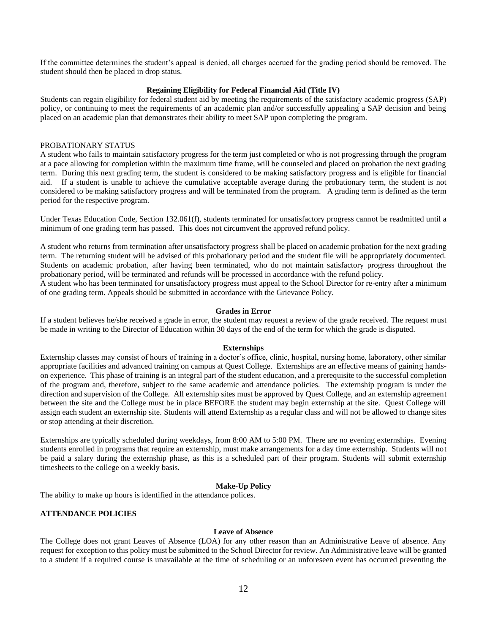If the committee determines the student's appeal is denied, all charges accrued for the grading period should be removed. The student should then be placed in drop status.

## **Regaining Eligibility for Federal Financial Aid (Title IV)**

<span id="page-15-0"></span>Students can regain eligibility for federal student aid by meeting the requirements of the satisfactory academic progress (SAP) policy, or continuing to meet the requirements of an academic plan and/or successfully appealing a SAP decision and being placed on an academic plan that demonstrates their ability to meet SAP upon completing the program.

## PROBATIONARY STATUS

A student who fails to maintain satisfactory progress for the term just completed or who is not progressing through the program at a pace allowing for completion within the maximum time frame, will be counseled and placed on probation the next grading term. During this next grading term, the student is considered to be making satisfactory progress and is eligible for financial aid. If a student is unable to achieve the cumulative acceptable average during the probationary term, the student is not considered to be making satisfactory progress and will be terminated from the program. A grading term is defined as the term period for the respective program.

Under Texas Education Code, Section 132.061(f), students terminated for unsatisfactory progress cannot be readmitted until a minimum of one grading term has passed. This does not circumvent the approved refund policy.

A student who returns from termination after unsatisfactory progress shall be placed on academic probation for the next grading term. The returning student will be advised of this probationary period and the student file will be appropriately documented. Students on academic probation, after having been terminated, who do not maintain satisfactory progress throughout the probationary period, will be terminated and refunds will be processed in accordance with the refund policy.

A student who has been terminated for unsatisfactory progress must appeal to the School Director for re-entry after a minimum of one grading term. Appeals should be submitted in accordance with the Grievance Policy.

## **Grades in Error**

If a student believes he/she received a grade in error, the student may request a review of the grade received. The request must be made in writing to the Director of Education within 30 days of the end of the term for which the grade is disputed.

### **Externships**

<span id="page-15-1"></span>Externship classes may consist of hours of training in a doctor's office, clinic, hospital, nursing home, laboratory, other similar appropriate facilities and advanced training on campus at Quest College. Externships are an effective means of gaining handson experience. This phase of training is an integral part of the student education, and a prerequisite to the successful completion of the program and, therefore, subject to the same academic and attendance policies. The externship program is under the direction and supervision of the College. All externship sites must be approved by Quest College, and an externship agreement between the site and the College must be in place BEFORE the student may begin externship at the site. Quest College will assign each student an externship site. Students will attend Externship as a regular class and will not be allowed to change sites or stop attending at their discretion.

Externships are typically scheduled during weekdays, from 8:00 AM to 5:00 PM. There are no evening externships. Evening students enrolled in programs that require an externship, must make arrangements for a day time externship. Students will not be paid a salary during the externship phase, as this is a scheduled part of their program. Students will submit externship timesheets to the college on a weekly basis.

## **Make-Up Policy**

<span id="page-15-2"></span>The ability to make up hours is identified in the attendance polices.

## <span id="page-15-3"></span>**ATTENDANCE POLICIES**

### **Leave of Absence**

<span id="page-15-4"></span>The College does not grant Leaves of Absence (LOA) for any other reason than an Administrative Leave of absence. Any request for exception to this policy must be submitted to the School Director for review. An Administrative leave will be granted to a student if a required course is unavailable at the time of scheduling or an unforeseen event has occurred preventing the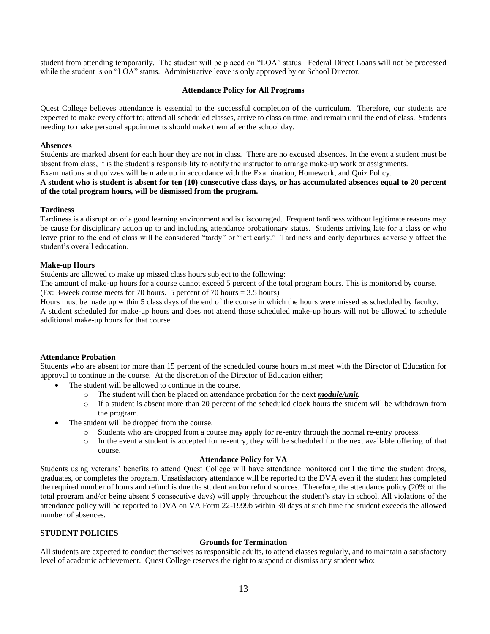student from attending temporarily. The student will be placed on "LOA" status. Federal Direct Loans will not be processed while the student is on "LOA" status. Administrative leave is only approved by or School Director.

## **Attendance Policy for All Programs**

<span id="page-16-0"></span>Quest College believes attendance is essential to the successful completion of the curriculum. Therefore, our students are expected to make every effort to; attend all scheduled classes, arrive to class on time, and remain until the end of class. Students needing to make personal appointments should make them after the school day.

## **Absences**

Students are marked absent for each hour they are not in class. There are no excused absences. In the event a student must be absent from class, it is the student's responsibility to notify the instructor to arrange make-up work or assignments.

Examinations and quizzes will be made up in accordance with the Examination, Homework, and Quiz Policy.

## **A student who is student is absent for ten (10) consecutive class days, or has accumulated absences equal to 20 percent of the total program hours, will be dismissed from the program.**

## **Tardiness**

Tardiness is a disruption of a good learning environment and is discouraged. Frequent tardiness without legitimate reasons may be cause for disciplinary action up to and including attendance probationary status. Students arriving late for a class or who leave prior to the end of class will be considered "tardy" or "left early." Tardiness and early departures adversely affect the student's overall education.

## **Make-up Hours**

Students are allowed to make up missed class hours subject to the following:

The amount of make-up hours for a course cannot exceed 5 percent of the total program hours. This is monitored by course. (Ex: 3-week course meets for 70 hours. 5 percent of 70 hours = 3.5 hours)

Hours must be made up within 5 class days of the end of the course in which the hours were missed as scheduled by faculty. A student scheduled for make-up hours and does not attend those scheduled make-up hours will not be allowed to schedule additional make-up hours for that course.

## **Attendance Probation**

Students who are absent for more than 15 percent of the scheduled course hours must meet with the Director of Education for approval to continue in the course. At the discretion of the Director of Education either;

- The student will be allowed to continue in the course.
	- o The student will then be placed on attendance probation for the next *module/unit.*
	- o If a student is absent more than 20 percent of the scheduled clock hours the student will be withdrawn from the program.
- The student will be dropped from the course.
	- o Students who are dropped from a course may apply for re-entry through the normal re-entry process.
	- In the event a student is accepted for re-entry, they will be scheduled for the next available offering of that course.

### **Attendance Policy for VA**

Students using veterans' benefits to attend Quest College will have attendance monitored until the time the student drops, graduates, or completes the program. Unsatisfactory attendance will be reported to the DVA even if the student has completed the required number of hours and refund is due the student and/or refund sources. Therefore, the attendance policy (20% of the total program and/or being absent 5 consecutive days) will apply throughout the student's stay in school. All violations of the attendance policy will be reported to DVA on VA Form 22-1999b within 30 days at such time the student exceeds the allowed number of absences.

## <span id="page-16-1"></span>**STUDENT POLICIES**

## **Grounds for Termination**

All students are expected to conduct themselves as responsible adults, to attend classes regularly, and to maintain a satisfactory level of academic achievement. Quest College reserves the right to suspend or dismiss any student who: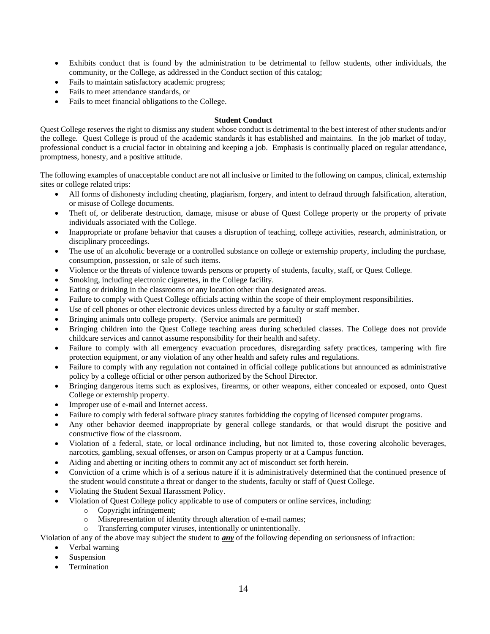- Exhibits conduct that is found by the administration to be detrimental to fellow students, other individuals, the community, or the College, as addressed in the Conduct section of this catalog;
- Fails to maintain satisfactory academic progress;
- Fails to meet attendance standards, or
- Fails to meet financial obligations to the College.

## **Student Conduct**

<span id="page-17-0"></span>Quest College reserves the right to dismiss any student whose conduct is detrimental to the best interest of other students and/or the college. Quest College is proud of the academic standards it has established and maintains. In the job market of today, professional conduct is a crucial factor in obtaining and keeping a job. Emphasis is continually placed on regular attendance, promptness, honesty, and a positive attitude.

The following examples of unacceptable conduct are not all inclusive or limited to the following on campus, clinical, externship sites or college related trips:

- All forms of dishonesty including cheating, plagiarism, forgery, and intent to defraud through falsification, alteration, or misuse of College documents.
- Theft of, or deliberate destruction, damage, misuse or abuse of Quest College property or the property of private individuals associated with the College.
- Inappropriate or profane behavior that causes a disruption of teaching, college activities, research, administration, or disciplinary proceedings.
- The use of an alcoholic beverage or a controlled substance on college or externship property, including the purchase, consumption, possession, or sale of such items.
- Violence or the threats of violence towards persons or property of students, faculty, staff, or Quest College.
- Smoking, including electronic cigarettes, in the College facility.
- Eating or drinking in the classrooms or any location other than designated areas.
- Failure to comply with Quest College officials acting within the scope of their employment responsibilities.
- Use of cell phones or other electronic devices unless directed by a faculty or staff member.
- Bringing animals onto college property. (Service animals are permitted)
- Bringing children into the Quest College teaching areas during scheduled classes. The College does not provide childcare services and cannot assume responsibility for their health and safety.
- Failure to comply with all emergency evacuation procedures, disregarding safety practices, tampering with fire protection equipment, or any violation of any other health and safety rules and regulations.
- Failure to comply with any regulation not contained in official college publications but announced as administrative policy by a college official or other person authorized by the School Director.
- Bringing dangerous items such as explosives, firearms, or other weapons, either concealed or exposed, onto Quest College or externship property.
- Improper use of e-mail and Internet access.
- Failure to comply with federal software piracy statutes forbidding the copying of licensed computer programs.
- Any other behavior deemed inappropriate by general college standards, or that would disrupt the positive and constructive flow of the classroom.
- Violation of a federal, state, or local ordinance including, but not limited to, those covering alcoholic beverages, narcotics, gambling, sexual offenses, or arson on Campus property or at a Campus function.
- Aiding and abetting or inciting others to commit any act of misconduct set forth herein.
- Conviction of a crime which is of a serious nature if it is administratively determined that the continued presence of the student would constitute a threat or danger to the students, faculty or staff of Quest College.
- Violating the Student Sexual Harassment Policy.
	- Violation of Quest College policy applicable to use of computers or online services, including:
		- o Copyright infringement;
		- o Misrepresentation of identity through alteration of e-mail names;
		- o Transferring computer viruses, intentionally or unintentionally.

Violation of any of the above may subject the student to *any* of the following depending on seriousness of infraction:

- Verbal warning
- **Suspension**
- **Termination**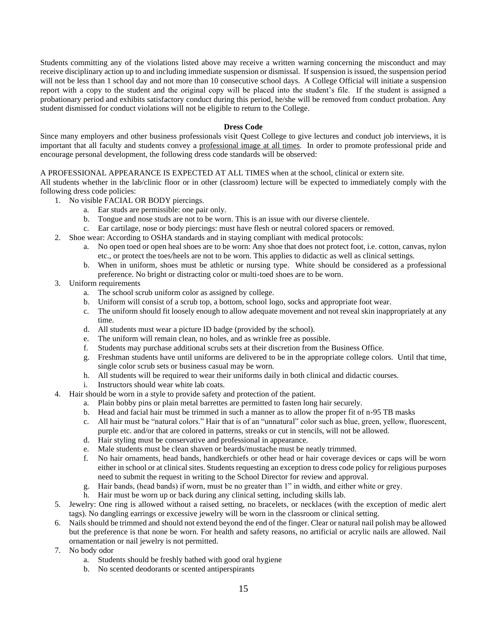Students committing any of the violations listed above may receive a written warning concerning the misconduct and may receive disciplinary action up to and including immediate suspension or dismissal. If suspension is issued, the suspension period will not be less than 1 school day and not more than 10 consecutive school days. A College Official will initiate a suspension report with a copy to the student and the original copy will be placed into the student's file. If the student is assigned a probationary period and exhibits satisfactory conduct during this period, he/she will be removed from conduct probation. Any student dismissed for conduct violations will not be eligible to return to the College.

## **Dress Code**

<span id="page-18-0"></span>Since many employers and other business professionals visit Quest College to give lectures and conduct job interviews, it is important that all faculty and students convey a professional image at all times. In order to promote professional pride and encourage personal development, the following dress code standards will be observed:

A PROFESSIONAL APPEARANCE IS EXPECTED AT ALL TIMES when at the school, clinical or extern site.

All students whether in the lab/clinic floor or in other (classroom) lecture will be expected to immediately comply with the following dress code policies:

- 1. No visible FACIAL OR BODY piercings.
	- a. Ear studs are permissible: one pair only.
	- b. Tongue and nose studs are not to be worn. This is an issue with our diverse clientele.
	- c. Ear cartilage, nose or body piercings: must have flesh or neutral colored spacers or removed.
- 2. Shoe wear: According to OSHA standards and in staying compliant with medical protocols:
	- a. No open toed or open heal shoes are to be worn: Any shoe that does not protect foot, i.e. cotton, canvas, nylon etc., or protect the toes/heels are not to be worn. This applies to didactic as well as clinical settings.
	- b. When in uniform, shoes must be athletic or nursing type. White should be considered as a professional preference. No bright or distracting color or multi-toed shoes are to be worn.
- 3. Uniform requirements
	- a. The school scrub uniform color as assigned by college.
	- b. Uniform will consist of a scrub top, a bottom, school logo, socks and appropriate foot wear.
	- c. The uniform should fit loosely enough to allow adequate movement and not reveal skin inappropriately at any time.
	- d. All students must wear a picture ID badge (provided by the school).
	- e. The uniform will remain clean, no holes, and as wrinkle free as possible.
	- f. Students may purchase additional scrubs sets at their discretion from the Business Office.
	- g. Freshman students have until uniforms are delivered to be in the appropriate college colors. Until that time, single color scrub sets or business casual may be worn.
	- h. All students will be required to wear their uniforms daily in both clinical and didactic courses.
	- i. Instructors should wear white lab coats.
- 4. Hair should be worn in a style to provide safety and protection of the patient.
	- a. Plain bobby pins or plain metal barrettes are permitted to fasten long hair securely.
	- b. Head and facial hair must be trimmed in such a manner as to allow the proper fit of n-95 TB masks
	- c. All hair must be "natural colors." Hair that is of an "unnatural" color such as blue, green, yellow, fluorescent, purple etc. and/or that are colored in patterns, streaks or cut in stencils, will not be allowed.
	- d. Hair styling must be conservative and professional in appearance.
	- e. Male students must be clean shaven or beards/mustache must be neatly trimmed.
	- f. No hair ornaments, head bands, handkerchiefs or other head or hair coverage devices or caps will be worn either in school or at clinical sites. Students requesting an exception to dress code policy for religious purposes need to submit the request in writing to the School Director for review and approval.
	- g. Hair bands, (head bands) if worn, must be no greater than 1" in width, and either white or grey.
	- h. Hair must be worn up or back during any clinical setting, including skills lab.
- 5. Jewelry: One ring is allowed without a raised setting, no bracelets, or necklaces (with the exception of medic alert tags). No dangling earrings or excessive jewelry will be worn in the classroom or clinical setting.
- 6. Nails should be trimmed and should not extend beyond the end of the finger. Clear or natural nail polish may be allowed but the preference is that none be worn. For health and safety reasons, no artificial or acrylic nails are allowed. Nail ornamentation or nail jewelry is not permitted.
- 7. No body odor
	- a. Students should be freshly bathed with good oral hygiene
	- b. No scented deodorants or scented antiperspirants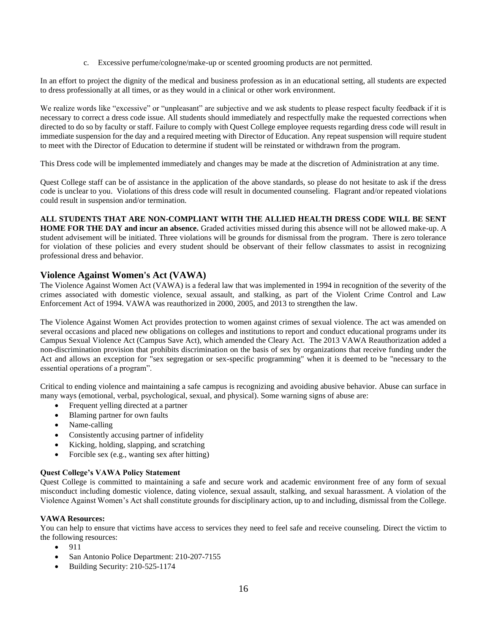c. Excessive perfume/cologne/make-up or scented grooming products are not permitted.

In an effort to project the dignity of the medical and business profession as in an educational setting, all students are expected to dress professionally at all times, or as they would in a clinical or other work environment.

We realize words like "excessive" or "unpleasant" are subjective and we ask students to please respect faculty feedback if it is necessary to correct a dress code issue. All students should immediately and respectfully make the requested corrections when directed to do so by faculty or staff. Failure to comply with Quest College employee requests regarding dress code will result in immediate suspension for the day and a required meeting with Director of Education. Any repeat suspension will require student to meet with the Director of Education to determine if student will be reinstated or withdrawn from the program.

This Dress code will be implemented immediately and changes may be made at the discretion of Administration at any time.

Quest College staff can be of assistance in the application of the above standards, so please do not hesitate to ask if the dress code is unclear to you. Violations of this dress code will result in documented counseling. Flagrant and/or repeated violations could result in suspension and/or termination.

## **ALL STUDENTS THAT ARE NON-COMPLIANT WITH THE ALLIED HEALTH DRESS CODE WILL BE SENT**

**HOME FOR THE DAY and incur an absence.** Graded activities missed during this absence will not be allowed make-up. A student advisement will be initiated. Three violations will be grounds for dismissal from the program. There is zero tolerance for violation of these policies and every student should be observant of their fellow classmates to assist in recognizing professional dress and behavior.

## <span id="page-19-0"></span>**Violence Against Women's Act (VAWA)**

The Violence Against Women Act (VAWA) is a federal law that was implemented in 1994 in recognition of the severity of the crimes associated with domestic violence, sexual assault, and stalking, as part of the Violent Crime Control and Law Enforcement Act of 1994. VAWA was reauthorized in 2000, 2005, and 2013 to strengthen the law.

The Violence Against Women Act provides protection to women against crimes of sexual violence. The act was amended on several occasions and placed new obligations on colleges and institutions to report and conduct educational programs under its Campus Sexual Violence Act (Campus Save Act), which amended the Cleary Act. The 2013 VAWA Reauthorization added a non-discrimination provision that prohibits discrimination on the basis of sex by organizations that receive funding under the Act and allows an exception for "sex segregation or sex-specific programming" when it is deemed to be "necessary to the essential operations of a program".

Critical to ending violence and maintaining a safe campus is recognizing and avoiding abusive behavior. Abuse can surface in many ways (emotional, verbal, psychological, sexual, and physical). Some warning signs of abuse are:

- Frequent yelling directed at a partner
- Blaming partner for own faults
- Name-calling
- Consistently accusing partner of infidelity
- Kicking, holding, slapping, and scratching
- Forcible sex (e.g., wanting sex after hitting)

## **Quest College's VAWA Policy Statement**

Quest College is committed to maintaining a safe and secure work and academic environment free of any form of sexual misconduct including domestic violence, dating violence, sexual assault, stalking, and sexual harassment. A violation of the Violence Against Women's Act shall constitute grounds for disciplinary action, up to and including, dismissal from the College.

## **VAWA Resources:**

You can help to ensure that victims have access to services they need to feel safe and receive counseling. Direct the victim to the following resources:

- 911
- San Antonio Police Department: 210-207-7155
- Building Security: 210-525-1174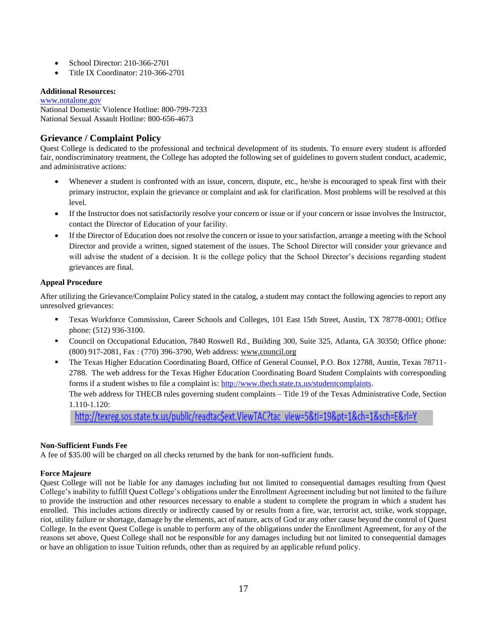- School Director: 210-366-2701
- Title IX Coordinator: 210-366-2701

## **Additional Resources:**

[www.notalone.gov](http://www.notalone.gov/) National Domestic Violence Hotline: 800-799-7233 National Sexual Assault Hotline: 800-656-4673

## <span id="page-20-0"></span>**Grievance / Complaint Policy**

Quest College is dedicated to the professional and technical development of its students. To ensure every student is afforded fair, nondiscriminatory treatment, the College has adopted the following set of guidelines to govern student conduct, academic, and administrative actions:

- Whenever a student is confronted with an issue, concern, dispute, etc., he/she is encouraged to speak first with their primary instructor, explain the grievance or complaint and ask for clarification. Most problems will be resolved at this level.
- If the Instructor does not satisfactorily resolve your concern or issue or if your concern or issue involves the Instructor, contact the Director of Education of your facility.
- If the Director of Education does not resolve the concern or issue to your satisfaction, arrange a meeting with the School Director and provide a written, signed statement of the issues. The School Director will consider your grievance and will advise the student of a decision. It is the college policy that the School Director's decisions regarding student grievances are final.

## **Appeal Procedure**

After utilizing the Grievance/Complaint Policy stated in the catalog, a student may contact the following agencies to report any unresolved grievances:

- Texas Workforce Commission, Career Schools and Colleges, 101 East 15th Street, Austin, TX 78778-0001; Office phone: (512) 936-3100.
- Council on Occupational Education, 7840 Roswell Rd., Building 300, Suite 325, Atlanta, GA 30350; Office phone: (800) 917-2081, Fax : (770) 396-3790, Web address: www.council.org
- The Texas Higher Education Coordinating Board, Office of General Counsel, P.O. Box 12788, Austin, Texas 78711- 2788. The web address for the Texas Higher Education Coordinating Board Student Complaints with corresponding forms if a student wishes to file a complaint is: [http://www.thecb.state.tx.us/studentcomplaints.](http://www.thecb.state.tx.us/studentcomplaints) The web address for THECB rules governing student complaints – Title 19 of the Texas Administrative Code, Section 1.110-1.120:

<span id="page-20-3"></span>http://texreg.sos.state.tx.us/public/readtac\$ext.ViewTAC?tac\_view=5&ti=19&pt=1&ch=1&sch=E&rl=Y

## <span id="page-20-1"></span>**Non-Sufficient Funds Fee**

A fee of \$35.00 will be charged on all checks returned by the bank for non-sufficient funds.

## <span id="page-20-2"></span>**Force Majeure**

Quest College will not be liable for any damages including but not limited to consequential damages resulting from Quest College's inability to fulfill Quest College's obligations under the Enrollment Agreement including but not limited to the failure to provide the instruction and other resources necessary to enable a student to complete the program in which a student has enrolled. This includes actions directly or indirectly caused by or results from a fire, war, terrorist act, strike, work stoppage, riot, utility failure or shortage, damage by the elements, act of nature, acts of God or any other cause beyond the control of Quest College. In the event Quest College is unable to perform any of the obligations under the Enrollment Agreement, for any of the reasons set above, Quest College shall not be responsible for any damages including but not limited to consequential damages or have an obligation to issue Tuition refunds, other than as required by an applicable refund policy.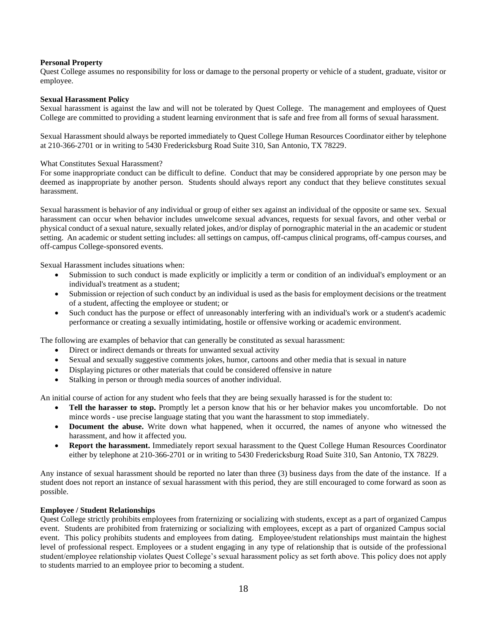## **Personal Property**

Quest College assumes no responsibility for loss or damage to the personal property or vehicle of a student, graduate, visitor or employee.

## <span id="page-21-0"></span>**Sexual Harassment Policy**

Sexual harassment is against the law and will not be tolerated by Quest College. The management and employees of Quest College are committed to providing a student learning environment that is safe and free from all forms of sexual harassment.

Sexual Harassment should always be reported immediately to Quest College Human Resources Coordinator either by telephone at 210-366-2701 or in writing to 5430 Fredericksburg Road Suite 310, San Antonio, TX 78229.

## What Constitutes Sexual Harassment?

For some inappropriate conduct can be difficult to define. Conduct that may be considered appropriate by one person may be deemed as inappropriate by another person. Students should always report any conduct that they believe constitutes sexual harassment.

Sexual harassment is behavior of any individual or group of either sex against an individual of the opposite or same sex. Sexual harassment can occur when behavior includes unwelcome sexual advances, requests for sexual favors, and other verbal or physical conduct of a sexual nature, sexually related jokes, and/or display of pornographic material in the an academic or student setting. An academic or student setting includes: all settings on campus, off-campus clinical programs, off-campus courses, and off-campus College-sponsored events.

Sexual Harassment includes situations when:

- Submission to such conduct is made explicitly or implicitly a term or condition of an individual's employment or an individual's treatment as a student;
- Submission or rejection of such conduct by an individual is used as the basis for employment decisions or the treatment of a student, affecting the employee or student; or
- Such conduct has the purpose or effect of unreasonably interfering with an individual's work or a student's academic performance or creating a sexually intimidating, hostile or offensive working or academic environment.

The following are examples of behavior that can generally be constituted as sexual harassment:

- Direct or indirect demands or threats for unwanted sexual activity
- Sexual and sexually suggestive comments jokes, humor, cartoons and other media that is sexual in nature
- Displaying pictures or other materials that could be considered offensive in nature
- Stalking in person or through media sources of another individual.

An initial course of action for any student who feels that they are being sexually harassed is for the student to:

- **Tell the harasser to stop.** Promptly let a person know that his or her behavior makes you uncomfortable. Do not mince words - use precise language stating that you want the harassment to stop immediately.
- **Document the abuse.** Write down what happened, when it occurred, the names of anyone who witnessed the harassment, and how it affected you.
- **Report the harassment.** Immediately report sexual harassment to the Quest College Human Resources Coordinator either by telephone at 210-366-2701 or in writing to 5430 Fredericksburg Road Suite 310, San Antonio, TX 78229.

Any instance of sexual harassment should be reported no later than three (3) business days from the date of the instance. If a student does not report an instance of sexual harassment with this period, they are still encouraged to come forward as soon as possible.

## <span id="page-21-1"></span>**Employee / Student Relationships**

Quest College strictly prohibits employees from fraternizing or socializing with students, except as a part of organized Campus event. Students are prohibited from fraternizing or socializing with employees, except as a part of organized Campus social event. This policy prohibits students and employees from dating. Employee/student relationships must maintain the highest level of professional respect. Employees or a student engaging in any type of relationship that is outside of the professional student/employee relationship violates Quest College's sexual harassment policy as set forth above. This policy does not apply to students married to an employee prior to becoming a student.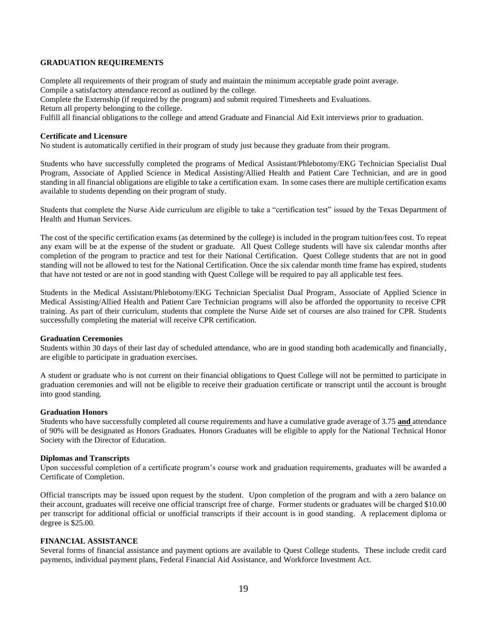## <span id="page-22-0"></span>**GRADUATION REQUIREMENTS**

Complete all requirements of their program of study and maintain the minimum acceptable grade point average. Compile a satisfactory attendance record as outlined by the college.

Complete the Externship (if required by the program) and submit required Timesheets and Evaluations.

Return all property belonging to the college.

Fulfill all financial obligations to the college and attend Graduate and Financial Aid Exit interviews prior to graduation.

## <span id="page-22-1"></span>**Certificate and Licensure**

No student is automatically certified in their program of study just because they graduate from their program.

Students who have successfully completed the programs of Medical Assistant/Phlebotomy/EKG Technician Specialist Dual Program, Associate of Applied Science in Medical Assisting/Allied Health and Patient Care Technician, and are in good standing in all financial obligations are eligible to take a certification exam. In some cases there are multiple certification exams available to students depending on their program of study.

Students that complete the Nurse Aide curriculum are eligible to take a "certification test" issued by the Texas Department of Health and Human Services.

The cost of the specific certification exams (as determined by the college) is included in the program tuition/fees cost. To repeat any exam will be at the expense of the student or graduate. All Quest College students will have six calendar months after completion of the program to practice and test for their National Certification. Quest College students that are not in good standing will not be allowed to test for the National Certification. Once the six calendar month time frame has expired, students that have not tested or are not in good standing with Quest College will be required to pay all applicable test fees.

Students in the Medical Assistant/Phlebotomy/EKG Technician Specialist Dual Program, Associate of Applied Science in Medical Assisting/Allied Health and Patient Care Technician programs will also be afforded the opportunity to receive CPR training. As part of their curriculum, students that complete the Nurse Aide set of courses are also trained for CPR. Students successfully completing the material will receive CPR certification.

## <span id="page-22-2"></span>**Graduation Ceremonies**

Students within 30 days of their last day of scheduled attendance, who are in good standing both academically and financially, are eligible to participate in graduation exercises.

A student or graduate who is not current on their financial obligations to Quest College will not be permitted to participate in graduation ceremonies and will not be eligible to receive their graduation certificate or transcript until the account is brought into good standing.

## <span id="page-22-3"></span>**Graduation Honors**

Students who have successfully completed all course requirements and have a cumulative grade average of 3.75 **and** attendance of 90% will be designated as Honors Graduates*.* Honors Graduates will be eligible to apply for the National Technical Honor Society with the Director of Education.

## <span id="page-22-4"></span>**Diplomas and Transcripts**

Upon successful completion of a certificate program's course work and graduation requirements, graduates will be awarded a Certificate of Completion.

Official transcripts may be issued upon request by the student. Upon completion of the program and with a zero balance on their account, graduates will receive one official transcript free of charge. Former students or graduates will be charged \$10.00 per transcript for additional official or unofficial transcripts if their account is in good standing. A replacement diploma or degree is \$25.00.

## <span id="page-22-5"></span>**FINANCIAL ASSISTANCE**

Several forms of financial assistance and payment options are available to Quest College students. These include credit card payments, individual payment plans, Federal Financial Aid Assistance, and Workforce Investment Act.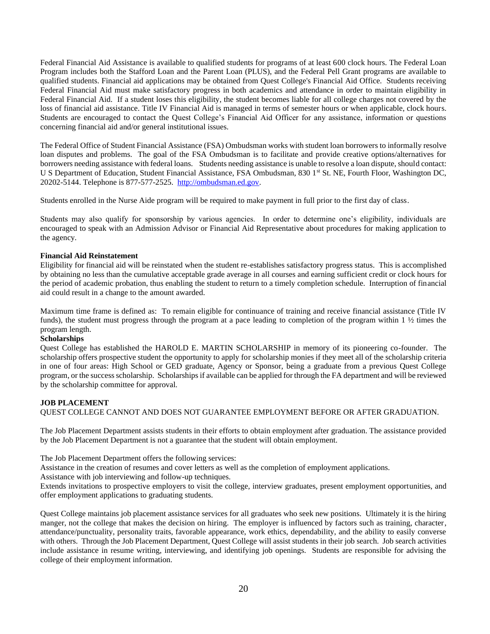Federal Financial Aid Assistance is available to qualified students for programs of at least 600 clock hours. The Federal Loan Program includes both the Stafford Loan and the Parent Loan (PLUS), and the Federal Pell Grant programs are available to qualified students. Financial aid applications may be obtained from Quest College's Financial Aid Office. Students receiving Federal Financial Aid must make satisfactory progress in both academics and attendance in order to maintain eligibility in Federal Financial Aid. If a student loses this eligibility, the student becomes liable for all college charges not covered by the loss of financial aid assistance. Title IV Financial Aid is managed in terms of semester hours or when applicable, clock hours. Students are encouraged to contact the Quest College's Financial Aid Officer for any assistance, information or questions concerning financial aid and/or general institutional issues.

The Federal Office of Student Financial Assistance (FSA) Ombudsman works with student loan borrowers to informally resolve loan disputes and problems. The goal of the FSA Ombudsman is to facilitate and provide creative options/alternatives for borrowers needing assistance with federal loans. Students needing assistance is unable to resolve a loan dispute, should contact: U S Department of Education, Student Financial Assistance, FSA Ombudsman, 830 1<sup>st</sup> St. NE, Fourth Floor, Washington DC, 20202-5144. Telephone is 877-577-2525. [http://ombudsman.ed.gov.](http://ombudsman.ed.gov/)

Students enrolled in the Nurse Aide program will be required to make payment in full prior to the first day of class.

Students may also qualify for sponsorship by various agencies. In order to determine one's eligibility, individuals are encouraged to speak with an Admission Advisor or Financial Aid Representative about procedures for making application to the agency.

## <span id="page-23-0"></span>**Financial Aid Reinstatement**

Eligibility for financial aid will be reinstated when the student re-establishes satisfactory progress status. This is accomplished by obtaining no less than the cumulative acceptable grade average in all courses and earning sufficient credit or clock hours for the period of academic probation, thus enabling the student to return to a timely completion schedule. Interruption of financial aid could result in a change to the amount awarded.

Maximum time frame is defined as: To remain eligible for continuance of training and receive financial assistance (Title IV funds), the student must progress through the program at a pace leading to completion of the program within  $1 \frac{1}{2}$  times the program length.

## <span id="page-23-1"></span>**Scholarships**

Quest College has established the HAROLD E. MARTIN SCHOLARSHIP in memory of its pioneering co-founder. The scholarship offers prospective student the opportunity to apply for scholarship monies if they meet all of the scholarship criteria in one of four areas: High School or GED graduate, Agency or Sponsor, being a graduate from a previous Quest College program, or the success scholarship. Scholarships if available can be applied for through the FA department and will be reviewed by the scholarship committee for approval.

## <span id="page-23-2"></span>**JOB PLACEMENT**

QUEST COLLEGE CANNOT AND DOES NOT GUARANTEE EMPLOYMENT BEFORE OR AFTER GRADUATION.

The Job Placement Department assists students in their efforts to obtain employment after graduation. The assistance provided by the Job Placement Department is not a guarantee that the student will obtain employment.

The Job Placement Department offers the following services:

Assistance in the creation of resumes and cover letters as well as the completion of employment applications.

Assistance with job interviewing and follow-up techniques.

Extends invitations to prospective employers to visit the college, interview graduates, present employment opportunities, and offer employment applications to graduating students.

Quest College maintains job placement assistance services for all graduates who seek new positions. Ultimately it is the hiring manger, not the college that makes the decision on hiring. The employer is influenced by factors such as training, character, attendance/punctuality, personality traits, favorable appearance, work ethics, dependability, and the ability to easily converse with others. Through the Job Placement Department, Quest College will assist students in their job search. Job search activities include assistance in resume writing, interviewing, and identifying job openings. Students are responsible for advising the college of their employment information.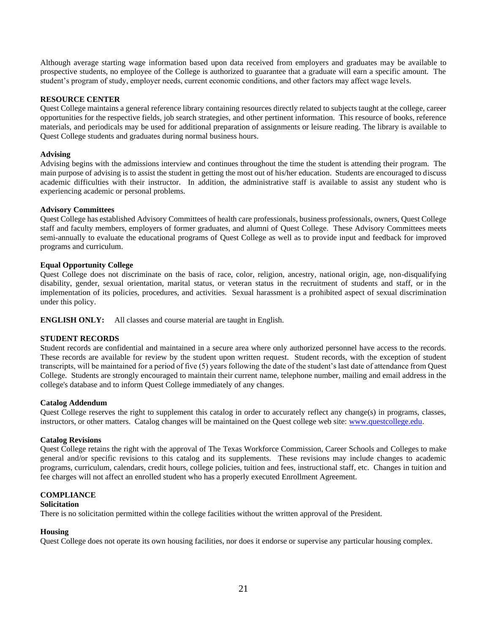Although average starting wage information based upon data received from employers and graduates may be available to prospective students, no employee of the College is authorized to guarantee that a graduate will earn a specific amount. The student's program of study, employer needs, current economic conditions, and other factors may affect wage levels.

## <span id="page-24-0"></span>**RESOURCE CENTER**

Quest College maintains a general reference library containing resources directly related to subjects taught at the college, career opportunities for the respective fields, job search strategies, and other pertinent information. This resource of books, reference materials, and periodicals may be used for additional preparation of assignments or leisure reading. The library is available to Quest College students and graduates during normal business hours.

## <span id="page-24-1"></span>**Advising**

Advising begins with the admissions interview and continues throughout the time the student is attending their program. The main purpose of advising is to assist the student in getting the most out of his/her education. Students are encouraged to discuss academic difficulties with their instructor. In addition, the administrative staff is available to assist any student who is experiencing academic or personal problems.

## <span id="page-24-2"></span>**Advisory Committees**

Quest College has established Advisory Committees of health care professionals, business professionals, owners, Quest College staff and faculty members, employers of former graduates, and alumni of Quest College. These Advisory Committees meets semi-annually to evaluate the educational programs of Quest College as well as to provide input and feedback for improved programs and curriculum.

## <span id="page-24-3"></span>**Equal Opportunity College**

Quest College does not discriminate on the basis of race, color, religion, ancestry, national origin, age, non-disqualifying disability, gender, sexual orientation, marital status, or veteran status in the recruitment of students and staff, or in the implementation of its policies, procedures, and activities. Sexual harassment is a prohibited aspect of sexual discrimination under this policy.

**ENGLISH ONLY:** All classes and course material are taught in English.

## <span id="page-24-4"></span>**STUDENT RECORDS**

Student records are confidential and maintained in a secure area where only authorized personnel have access to the records. These records are available for review by the student upon written request. Student records, with the exception of student transcripts, will be maintained for a period of five (5) years following the date of the student's last date of attendance from Quest College*.* Students are strongly encouraged to maintain their current name, telephone number, mailing and email address in the college's database and to inform Quest College immediately of any changes.

### <span id="page-24-5"></span>**Catalog Addendum**

Quest College reserves the right to supplement this catalog in order to accurately reflect any change(s) in programs, classes, instructors, or other matters. Catalog changes will be maintained on the Quest college web site: [www.questcollege.edu.](http://www.questcollege.edu/)

## <span id="page-24-6"></span>**Catalog Revisions**

Quest College retains the right with the approval of The Texas Workforce Commission, Career Schools and Colleges to make general and/or specific revisions to this catalog and its supplements. These revisions may include changes to academic programs, curriculum, calendars, credit hours, college policies, tuition and fees, instructional staff, etc. Changes in tuition and fee charges will not affect an enrolled student who has a properly executed Enrollment Agreement.

## <span id="page-24-7"></span>**COMPLIANCE**

## <span id="page-24-8"></span>**Solicitation**

There is no solicitation permitted within the college facilities without the written approval of the President.

## <span id="page-24-9"></span>**Housing**

Quest College does not operate its own housing facilities, nor does it endorse or supervise any particular housing complex.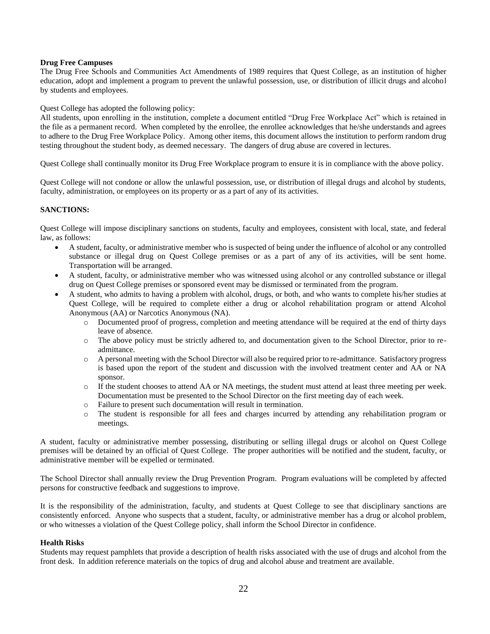## <span id="page-25-0"></span>**Drug Free Campuses**

The Drug Free Schools and Communities Act Amendments of 1989 requires that Quest College, as an institution of higher education, adopt and implement a program to prevent the unlawful possession, use, or distribution of illicit drugs and alcohol by students and employees.

Quest College has adopted the following policy:

All students, upon enrolling in the institution, complete a document entitled "Drug Free Workplace Act" which is retained in the file as a permanent record. When completed by the enrollee, the enrollee acknowledges that he/she understands and agrees to adhere to the Drug Free Workplace Policy. Among other items, this document allows the institution to perform random drug testing throughout the student body, as deemed necessary. The dangers of drug abuse are covered in lectures.

Quest College shall continually monitor its Drug Free Workplace program to ensure it is in compliance with the above policy.

Quest College will not condone or allow the unlawful possession, use, or distribution of illegal drugs and alcohol by students, faculty, administration, or employees on its property or as a part of any of its activities.

## **SANCTIONS:**

Quest College will impose disciplinary sanctions on students, faculty and employees, consistent with local, state, and federal law, as follows:

- A student, faculty, or administrative member who is suspected of being under the influence of alcohol or any controlled substance or illegal drug on Quest College premises or as a part of any of its activities, will be sent home. Transportation will be arranged.
- A student, faculty, or administrative member who was witnessed using alcohol or any controlled substance or illegal drug on Quest College premises or sponsored event may be dismissed or terminated from the program.
- A student, who admits to having a problem with alcohol, drugs, or both, and who wants to complete his/her studies at Quest College, will be required to complete either a drug or alcohol rehabilitation program or attend Alcohol Anonymous (AA) or Narcotics Anonymous (NA).
	- o Documented proof of progress, completion and meeting attendance will be required at the end of thirty days leave of absence.
	- o The above policy must be strictly adhered to, and documentation given to the School Director, prior to readmittance.
	- o A personal meeting with the School Director will also be required prior to re-admittance. Satisfactory progress is based upon the report of the student and discussion with the involved treatment center and AA or NA sponsor.
	- o If the student chooses to attend AA or NA meetings, the student must attend at least three meeting per week. Documentation must be presented to the School Director on the first meeting day of each week.
	- o Failure to present such documentation will result in termination.
	- o The student is responsible for all fees and charges incurred by attending any rehabilitation program or meetings.

A student, faculty or administrative member possessing, distributing or selling illegal drugs or alcohol on Quest College premises will be detained by an official of Quest College. The proper authorities will be notified and the student, faculty, or administrative member will be expelled or terminated.

The School Director shall annually review the Drug Prevention Program. Program evaluations will be completed by affected persons for constructive feedback and suggestions to improve.

It is the responsibility of the administration, faculty, and students at Quest College to see that disciplinary sanctions are consistently enforced. Anyone who suspects that a student, faculty, or administrative member has a drug or alcohol problem, or who witnesses a violation of the Quest College policy, shall inform the School Director in confidence.

## <span id="page-25-1"></span>**Health Risks**

Students may request pamphlets that provide a description of health risks associated with the use of drugs and alcohol from the front desk. In addition reference materials on the topics of drug and alcohol abuse and treatment are available.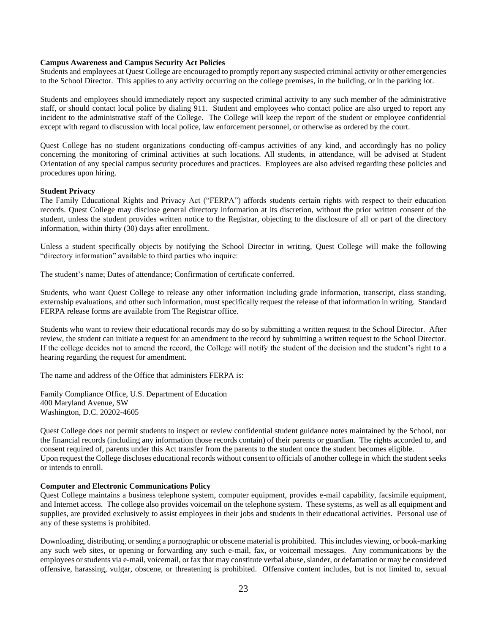## <span id="page-26-0"></span>**Campus Awareness and Campus Security Act Policies**

Students and employees at Quest College are encouraged to promptly report any suspected criminal activity or other emergencies to the School Director. This applies to any activity occurring on the college premises, in the building, or in the parking lot.

Students and employees should immediately report any suspected criminal activity to any such member of the administrative staff, or should contact local police by dialing 911. Student and employees who contact police are also urged to report any incident to the administrative staff of the College. The College will keep the report of the student or employee confidential except with regard to discussion with local police, law enforcement personnel, or otherwise as ordered by the court.

Quest College has no student organizations conducting off-campus activities of any kind, and accordingly has no policy concerning the monitoring of criminal activities at such locations. All students, in attendance, will be advised at Student Orientation of any special campus security procedures and practices. Employees are also advised regarding these policies and procedures upon hiring.

## <span id="page-26-1"></span>**Student Privacy**

The Family Educational Rights and Privacy Act ("FERPA") affords students certain rights with respect to their education records. Quest College may disclose general directory information at its discretion, without the prior written consent of the student, unless the student provides written notice to the Registrar, objecting to the disclosure of all or part of the directory information, within thirty (30) days after enrollment.

Unless a student specifically objects by notifying the School Director in writing, Quest College will make the following "directory information" available to third parties who inquire:

The student's name; Dates of attendance; Confirmation of certificate conferred.

Students, who want Quest College to release any other information including grade information, transcript, class standing, externship evaluations, and other such information, must specifically request the release of that information in writing. Standard FERPA release forms are available from The Registrar office.

Students who want to review their educational records may do so by submitting a written request to the School Director. After review, the student can initiate a request for an amendment to the record by submitting a written request to the School Director. If the college decides not to amend the record, the College will notify the student of the decision and the student's right to a hearing regarding the request for amendment.

The name and address of the Office that administers FERPA is:

Family Compliance Office, U.S. Department of Education 400 Maryland Avenue, SW Washington, D.C. 20202-4605

Quest College does not permit students to inspect or review confidential student guidance notes maintained by the School, nor the financial records (including any information those records contain) of their parents or guardian. The rights accorded to, and consent required of, parents under this Act transfer from the parents to the student once the student becomes eligible. Upon request the College discloses educational records without consent to officials of another college in which the student seeks or intends to enroll.

### <span id="page-26-2"></span>**Computer and Electronic Communications Policy**

Quest College maintains a business telephone system, computer equipment, provides e-mail capability, facsimile equipment, and Internet access. The college also provides voicemail on the telephone system. These systems, as well as all equipment and supplies, are provided exclusively to assist employees in their jobs and students in their educational activities. Personal use of any of these systems is prohibited.

Downloading, distributing, or sending a pornographic or obscene material is prohibited. This includes viewing, or book-marking any such web sites, or opening or forwarding any such e-mail, fax, or voicemail messages. Any communications by the employees or students via e-mail, voicemail, or fax that may constitute verbal abuse, slander, or defamation or may be considered offensive, harassing, vulgar, obscene, or threatening is prohibited. Offensive content includes, but is not limited to, sexual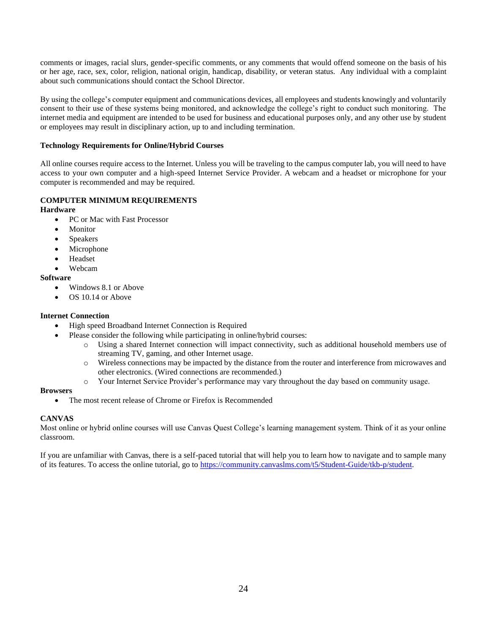comments or images, racial slurs, gender-specific comments, or any comments that would offend someone on the basis of his or her age, race, sex, color, religion, national origin, handicap, disability, or veteran status. Any individual with a complaint about such communications should contact the School Director.

By using the college's computer equipment and communications devices, all employees and students knowingly and voluntarily consent to their use of these systems being monitored, and acknowledge the college's right to conduct such monitoring. The internet media and equipment are intended to be used for business and educational purposes only, and any other use by student or employees may result in disciplinary action, up to and including termination.

## **Technology Requirements for Online/Hybrid Courses**

All online courses require access to the Internet. Unless you will be traveling to the campus computer lab, you will need to have access to your own computer and a high-speed Internet Service Provider. A webcam and a headset or microphone for your computer is recommended and may be required.

## **COMPUTER MINIMUM REQUIREMENTS**

## **Hardware**

- PC or Mac with Fast Processor
- Monitor
- Speakers
- **Microphone**
- Headset
- Webcam

## **Software**

- Windows 8.1 or Above
- OS 10.14 or Above

## **Internet Connection**

- High speed Broadband Internet Connection is Required
	- Please consider the following while participating in online/hybrid courses:
		- o Using a shared Internet connection will impact connectivity, such as additional household members use of streaming TV, gaming, and other Internet usage.
		- o Wireless connections may be impacted by the distance from the router and interference from microwaves and other electronics. (Wired connections are recommended.)
		- o Your Internet Service Provider's performance may vary throughout the day based on community usage.

## **Browsers**

• The most recent release of Chrome or Firefox is Recommended

## **CANVAS**

Most online or hybrid online courses will use Canvas Quest College's learning management system. Think of it as your online classroom.

If you are unfamiliar with Canvas, there is a self-paced tutorial that will help you to learn how to navigate and to sample many of its features. To access the online tutorial, go to [https://community.canvaslms.com/t5/Student-Guide/tkb-p/student.](https://community.canvaslms.com/t5/Student-Guide/tkb-p/student)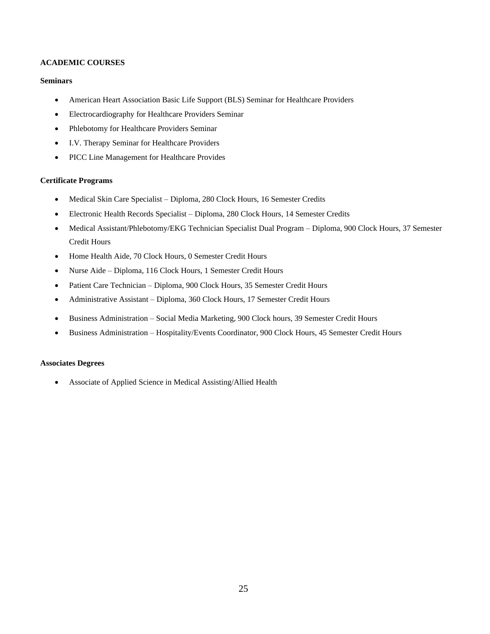## <span id="page-28-0"></span>**ACADEMIC COURSES**

## **Seminars**

- American Heart Association Basic Life Support (BLS) Seminar for Healthcare Providers
- Electrocardiography for Healthcare Providers Seminar
- Phlebotomy for Healthcare Providers Seminar
- I.V. Therapy Seminar for Healthcare Providers
- PICC Line Management for Healthcare Provides

## **Certificate Programs**

- Medical Skin Care Specialist Diploma, 280 Clock Hours, 16 Semester Credits
- Electronic Health Records Specialist Diploma, 280 Clock Hours, 14 Semester Credits
- Medical Assistant/Phlebotomy/EKG Technician Specialist Dual Program Diploma, 900 Clock Hours, 37 Semester Credit Hours
- Home Health Aide, 70 Clock Hours, 0 Semester Credit Hours
- Nurse Aide Diploma, 116 Clock Hours, 1 Semester Credit Hours
- Patient Care Technician Diploma, 900 Clock Hours, 35 Semester Credit Hours
- Administrative Assistant Diploma, 360 Clock Hours, 17 Semester Credit Hours
- Business Administration Social Media Marketing, 900 Clock hours, 39 Semester Credit Hours
- Business Administration Hospitality/Events Coordinator, 900 Clock Hours, 45 Semester Credit Hours

## **Associates Degrees**

• Associate of Applied Science in Medical Assisting/Allied Health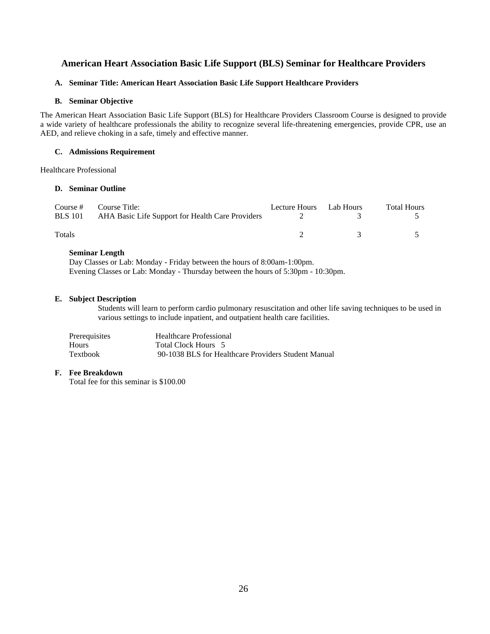## <span id="page-29-0"></span>**American Heart Association Basic Life Support (BLS) Seminar for Healthcare Providers**

## **A. Seminar Title: American Heart Association Basic Life Support Healthcare Providers**

## **B. Seminar Objective**

The American Heart Association Basic Life Support (BLS) for Healthcare Providers Classroom Course is designed to provide a wide variety of healthcare professionals the ability to recognize several life-threatening emergencies, provide CPR, use an AED, and relieve choking in a safe, timely and effective manner.

## **C. Admissions Requirement**

Healthcare Professional

## **D. Seminar Outline**

| <b>BLS</b> 101 | Course # Course Title:<br>AHA Basic Life Support for Health Care Providers | Lecture Hours Lab Hours |               | <b>Total Hours</b> |
|----------------|----------------------------------------------------------------------------|-------------------------|---------------|--------------------|
| <b>Totals</b>  |                                                                            |                         | $\mathcal{R}$ |                    |

## **Seminar Length**

Day Classes or Lab: Monday - Friday between the hours of 8:00am-1:00pm. Evening Classes or Lab: Monday - Thursday between the hours of 5:30pm - 10:30pm.

## **E. Subject Description**

Students will learn to perform cardio pulmonary resuscitation and other life saving techniques to be used in various settings to include inpatient, and outpatient health care facilities.

| Prerequisites | <b>Healthcare Professional</b>                      |
|---------------|-----------------------------------------------------|
| Hours         | Total Clock Hours 5                                 |
| Textbook      | 90-1038 BLS for Healthcare Providers Student Manual |

## **F. Fee Breakdown**

Total fee for this seminar is \$100.00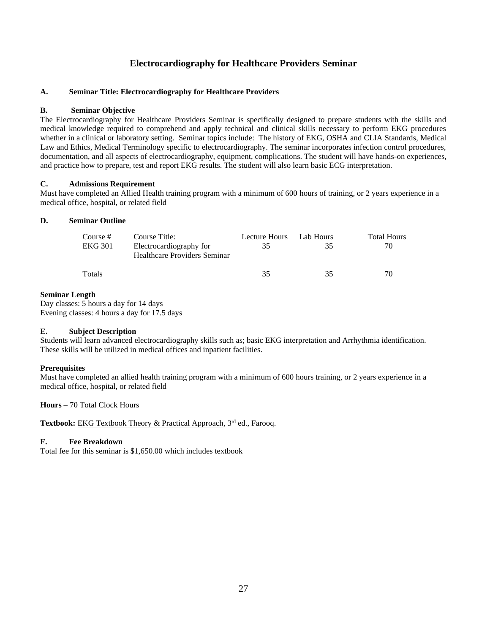## **Electrocardiography for Healthcare Providers Seminar**

## <span id="page-30-0"></span>**A. Seminar Title: Electrocardiography for Healthcare Providers**

## **B. Seminar Objective**

The Electrocardiography for Healthcare Providers Seminar is specifically designed to prepare students with the skills and medical knowledge required to comprehend and apply technical and clinical skills necessary to perform EKG procedures whether in a clinical or laboratory setting. Seminar topics include: The history of EKG, OSHA and CLIA Standards, Medical Law and Ethics, Medical Terminology specific to electrocardiography. The seminar incorporates infection control procedures, documentation, and all aspects of electrocardiography, equipment, complications. The student will have hands-on experiences, and practice how to prepare, test and report EKG results. The student will also learn basic ECG interpretation.

## **C. Admissions Requirement**

Must have completed an Allied Health training program with a minimum of 600 hours of training, or 2 years experience in a medical office, hospital, or related field

## **D. Seminar Outline**

| Course #       | Course Title:                                                  | Lecture Hours | Lab Hours | <b>Total Hours</b> |
|----------------|----------------------------------------------------------------|---------------|-----------|--------------------|
| <b>EKG 301</b> | Electrocardiography for<br><b>Healthcare Providers Seminar</b> | 35            | 35        | 70.                |
| Totals         |                                                                | 35            | 35        | 70                 |

## **Seminar Length**

Day classes: 5 hours a day for 14 days Evening classes: 4 hours a day for 17.5 days

## **E. Subject Description**

Students will learn advanced electrocardiography skills such as; basic EKG interpretation and Arrhythmia identification. These skills will be utilized in medical offices and inpatient facilities.

## **Prerequisites**

Must have completed an allied health training program with a minimum of 600 hours training, or 2 years experience in a medical office, hospital, or related field

## **Hours** – 70 Total Clock Hours

Textbook: EKG Textbook Theory & Practical Approach, 3<sup>rd</sup> ed., Farooq.

## **F. Fee Breakdown**

Total fee for this seminar is \$1,650.00 which includes textbook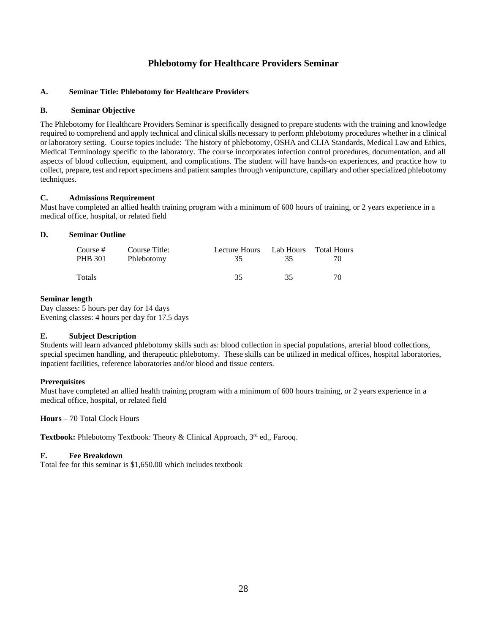## **Phlebotomy for Healthcare Providers Seminar**

## <span id="page-31-0"></span>**A. Seminar Title: Phlebotomy for Healthcare Providers**

## **B. Seminar Objective**

The Phlebotomy for Healthcare Providers Seminar is specifically designed to prepare students with the training and knowledge required to comprehend and apply technical and clinical skills necessary to perform phlebotomy procedures whether in a clinical or laboratory setting. Course topics include: The history of phlebotomy, OSHA and CLIA Standards, Medical Law and Ethics, Medical Terminology specific to the laboratory. The course incorporates infection control procedures, documentation, and all aspects of blood collection, equipment, and complications. The student will have hands-on experiences, and practice how to collect, prepare, test and report specimens and patient samples through venipuncture, capillary and other specialized phlebotomy techniques.

## **C. Admissions Requirement**

Must have completed an allied health training program with a minimum of 600 hours of training, or 2 years experience in a medical office, hospital, or related field

## **D. Seminar Outline**

| Course #<br>PHB 301 | Course Title:<br>Phlebotomy | Lecture Hours Lab Hours Total Hours<br>35. | 35. | 70 |
|---------------------|-----------------------------|--------------------------------------------|-----|----|
| Totals              |                             | 35                                         | 35  | 70 |

## **Seminar length**

Day classes: 5 hours per day for 14 days Evening classes: 4 hours per day for 17.5 days

## **E. Subject Description**

Students will learn advanced phlebotomy skills such as: blood collection in special populations, arterial blood collections, special specimen handling, and therapeutic phlebotomy. These skills can be utilized in medical offices, hospital laboratories, inpatient facilities, reference laboratories and/or blood and tissue centers.

## **Prerequisites**

Must have completed an allied health training program with a minimum of 600 hours training, or 2 years experience in a medical office, hospital, or related field

**Hours –** 70 Total Clock Hours

Textbook: Phlebotomy Textbook: Theory & Clinical Approach, 3<sup>rd</sup> ed., Farooq.

## **F. Fee Breakdown**

Total fee for this seminar is \$1,650.00 which includes textbook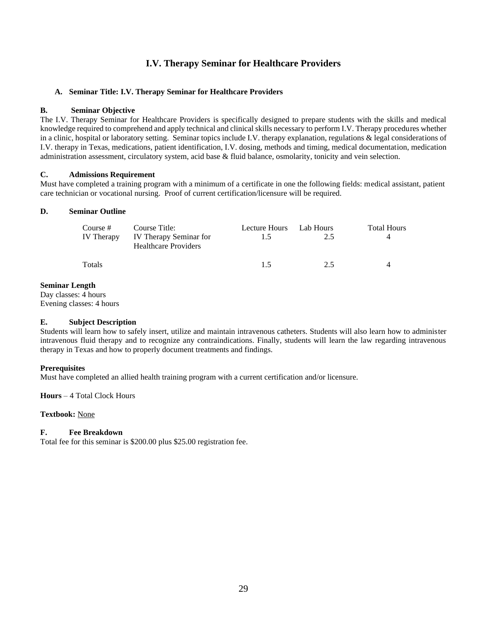## **I.V. Therapy Seminar for Healthcare Providers**

## **A. Seminar Title: I.V. Therapy Seminar for Healthcare Providers**

## **B. Seminar Objective**

The I.V. Therapy Seminar for Healthcare Providers is specifically designed to prepare students with the skills and medical knowledge required to comprehend and apply technical and clinical skills necessary to perform I.V. Therapy procedures whether in a clinic, hospital or laboratory setting. Seminar topics include I.V. therapy explanation, regulations & legal considerations of I.V. therapy in Texas, medications, patient identification, I.V. dosing, methods and timing, medical documentation, medication administration assessment, circulatory system, acid base & fluid balance, osmolarity, tonicity and vein selection.

## **C. Admissions Requirement**

Must have completed a training program with a minimum of a certificate in one the following fields: medical assistant, patient care technician or vocational nursing. Proof of current certification/licensure will be required.

## **D. Seminar Outline**

| Course #<br>IV Therapy | Course Title:<br>IV Therapy Seminar for<br><b>Healthcare Providers</b> | Lecture Hours<br>1.5 | Lab Hours<br>2.5 | <b>Total Hours</b> |
|------------------------|------------------------------------------------------------------------|----------------------|------------------|--------------------|
| Totals                 |                                                                        | 1.5                  | 2.5              |                    |

## **Seminar Length**

Day classes: 4 hours Evening classes: 4 hours

## **E. Subject Description**

Students will learn how to safely insert, utilize and maintain intravenous catheters. Students will also learn how to administer intravenous fluid therapy and to recognize any contraindications. Finally, students will learn the law regarding intravenous therapy in Texas and how to properly document treatments and findings.

## **Prerequisites**

Must have completed an allied health training program with a current certification and/or licensure.

**Hours** – 4 Total Clock Hours

**Textbook:** None

## **F. Fee Breakdown**

Total fee for this seminar is \$200.00 plus \$25.00 registration fee.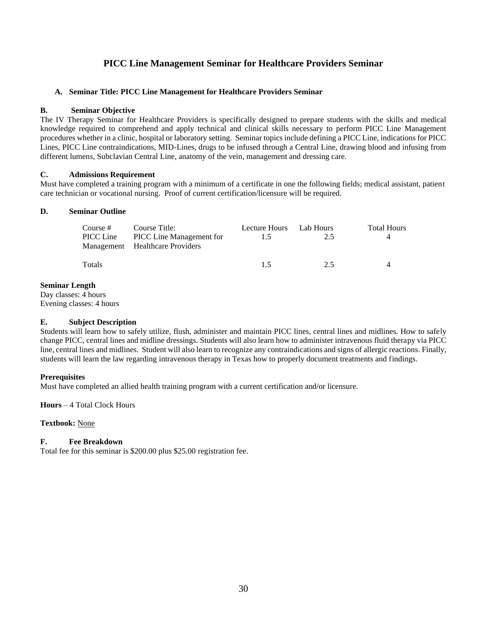## **PICC Line Management Seminar for Healthcare Providers Seminar**

## **A. Seminar Title: PICC Line Management for Healthcare Providers Seminar**

## **B. Seminar Objective**

The IV Therapy Seminar for Healthcare Providers is specifically designed to prepare students with the skills and medical knowledge required to comprehend and apply technical and clinical skills necessary to perform PICC Line Management procedures whether in a clinic, hospital or laboratory setting. Seminar topics include defining a PICC Line, indications for PICC Lines, PICC Line contraindications, MID-Lines, drugs to be infused through a Central Line, drawing blood and infusing from different lumens, Subclavian Central Line, anatomy of the vein, management and dressing care.

## **C. Admissions Requirement**

Must have completed a training program with a minimum of a certificate in one the following fields; medical assistant, patient care technician or vocational nursing. Proof of current certification/licensure will be required.

## **D. Seminar Outline**

| Course #<br>PICC Line | Course Title:<br>PICC Line Management for<br>Management Healthcare Providers | Lecture Hours Lab Hours<br>L5. | 2.5 | <b>Total Hours</b> |
|-----------------------|------------------------------------------------------------------------------|--------------------------------|-----|--------------------|
| Totals                |                                                                              | 15                             | 2.5 |                    |

## **Seminar Length**

Day classes: 4 hours Evening classes: 4 hours

## **E. Subject Description**

Students will learn how to safely utilize, flush, administer and maintain PICC lines, central lines and midlines. How to safely change PICC, central lines and midline dressings. Students will also learn how to administer intravenous fluid therapy via PICC line, central lines and midlines. Student will also learn to recognize any contraindications and signs of allergic reactions. Finally, students will learn the law regarding intravenous therapy in Texas how to properly document treatments and findings.

## **Prerequisites**

Must have completed an allied health training program with a current certification and/or licensure.

**Hours** – 4 Total Clock Hours

## **Textbook:** None

## **F. Fee Breakdown**

Total fee for this seminar is \$200.00 plus \$25.00 registration fee.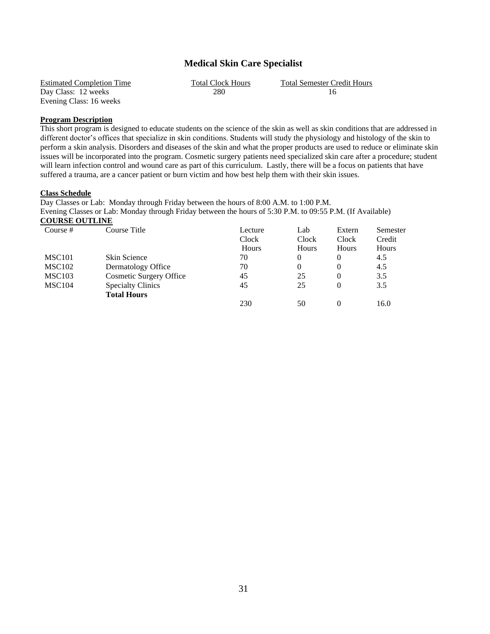## **Medical Skin Care Specialist**

| <b>Estimated Completion Time</b> | <b>Total Clock Hours</b> | <b>Total Semester Credit Hours</b> |
|----------------------------------|--------------------------|------------------------------------|
| Day Class: 12 weeks              | 280                      |                                    |
| Evening Class: 16 weeks          |                          |                                    |

## **Program Description**

This short program is designed to educate students on the science of the skin as well as skin conditions that are addressed in different doctor's offices that specialize in skin conditions. Students will study the physiology and histology of the skin to perform a skin analysis. Disorders and diseases of the skin and what the proper products are used to reduce or eliminate skin issues will be incorporated into the program. Cosmetic surgery patients need specialized skin care after a procedure; student will learn infection control and wound care as part of this curriculum. Lastly, there will be a focus on patients that have suffered a trauma, are a cancer patient or burn victim and how best help them with their skin issues.

## **Class Schedule**

Day Classes or Lab: Monday through Friday between the hours of 8:00 A.M. to 1:00 P.M. Evening Classes or Lab: Monday through Friday between the hours of 5:30 P.M. to 09:55 P.M. (If Available) **COURSE OUTLINE**

| Course $#$         | Course Title                   | Lecture | Lab      | Extern       | Semester |
|--------------------|--------------------------------|---------|----------|--------------|----------|
|                    |                                | Clock   | Clock    | Clock        | Credit   |
|                    |                                | Hours   | Hours    | <b>Hours</b> | Hours    |
| MSC <sub>101</sub> | <b>Skin Science</b>            | 70      | $\Omega$ |              | 4.5      |
| <b>MSC102</b>      | Dermatology Office             | 70      | 0        |              | 4.5      |
| <b>MSC103</b>      | <b>Cosmetic Surgery Office</b> | 45      | 25       |              | 3.5      |
| MSC <sub>104</sub> | <b>Specialty Clinics</b>       | 45      | 25       |              | 3.5      |
|                    | <b>Total Hours</b>             |         |          |              |          |
|                    |                                | 230     | 50       |              | 16.0     |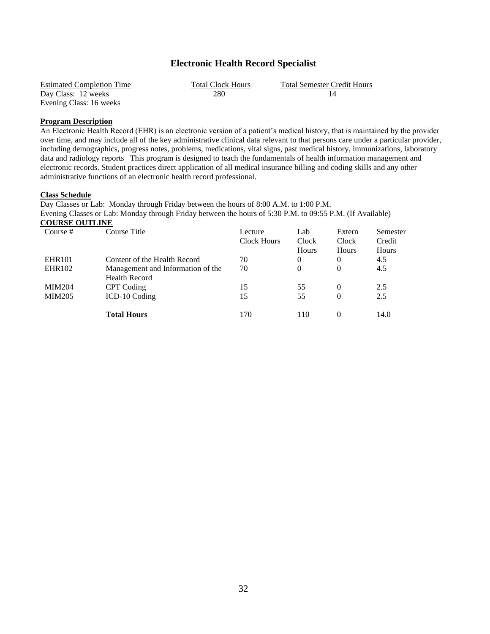## **Electronic Health Record Specialist**

| <b>Estimated Completion Time</b> | <b>Total Clock Hours</b> | <b>Total Semester Credit Hours</b> |
|----------------------------------|--------------------------|------------------------------------|
| Day Class: 12 weeks              | 280                      |                                    |
| Evening Class: 16 weeks          |                          |                                    |

## **Program Description**

An Electronic Health Record (EHR) is an electronic version of a patient's medical history, that is maintained by the provider over time, and may include all of the key administrative clinical data relevant to that persons care under a particular provider, including demographics, progress notes, problems, medications, vital signs, past medical history, immunizations, laboratory data and radiology reports This program is designed to teach the fundamentals of health information management and electronic records. Student practices direct application of all medical insurance billing and coding skills and any other administrative functions of an electronic health record professional.

## **Class Schedule**

Day Classes or Lab: Monday through Friday between the hours of 8:00 A.M. to 1:00 P.M. Evening Classes or Lab: Monday through Friday between the hours of 5:30 P.M. to 09:55 P.M. (If Available) **COURSE OUTLINE**

| Course $#$    | Course Title                      | Lecture     | Lab            | Extern   | Semester |
|---------------|-----------------------------------|-------------|----------------|----------|----------|
|               |                                   | Clock Hours | Clock          | Clock    | Credit   |
|               |                                   |             | <b>Hours</b>   | Hours    | Hours    |
| <b>EHR101</b> | Content of the Health Record      | 70          | $\overline{0}$ | $\theta$ | 4.5      |
| <b>EHR102</b> | Management and Information of the | 70          | $\Omega$       | $\Omega$ | 4.5      |
|               | <b>Health Record</b>              |             |                |          |          |
| <b>MIM204</b> | CPT Coding                        | 15          | 55             | $\Omega$ | 2.5      |
| <b>MIM205</b> | ICD-10 Coding                     | 15          | 55             | 0        | 2.5      |
|               | <b>Total Hours</b>                | 170         | 110            |          | 14.0     |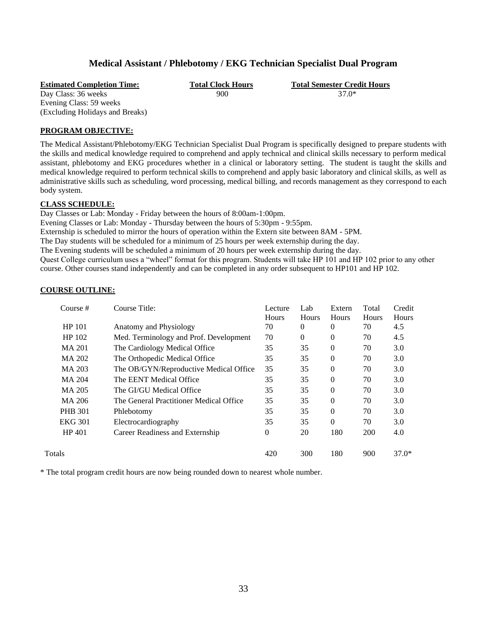## **Medical Assistant / Phlebotomy / EKG Technician Specialist Dual Program**

<span id="page-36-0"></span>

| <b>Estimated Completion Time:</b> | <b>Total Clock Hours</b> | <b>Total Semester Credit Hours</b> |
|-----------------------------------|--------------------------|------------------------------------|
| Day Class: 36 weeks               | 900                      | 37.0*                              |
| Evening Class: 59 weeks           |                          |                                    |
| (Excluding Holidays and Breaks)   |                          |                                    |

## **PROGRAM OBJECTIVE:**

The Medical Assistant/Phlebotomy/EKG Technician Specialist Dual Program is specifically designed to prepare students with the skills and medical knowledge required to comprehend and apply technical and clinical skills necessary to perform medical assistant, phlebotomy and EKG procedures whether in a clinical or laboratory setting. The student is taught the skills and medical knowledge required to perform technical skills to comprehend and apply basic laboratory and clinical skills, as well as administrative skills such as scheduling, word processing, medical billing, and records management as they correspond to each body system.

## **CLASS SCHEDULE:**

Day Classes or Lab: Monday - Friday between the hours of 8:00am-1:00pm.

Evening Classes or Lab: Monday - Thursday between the hours of 5:30pm - 9:55pm.

Externship is scheduled to mirror the hours of operation within the Extern site between 8AM - 5PM.

The Day students will be scheduled for a minimum of 25 hours per week externship during the day.

The Evening students will be scheduled a minimum of 20 hours per week externship during the day.

Quest College curriculum uses a "wheel" format for this program. Students will take HP 101 and HP 102 prior to any other course. Other courses stand independently and can be completed in any order subsequent to HP101 and HP 102.

| Course #       | Course Title:                           | Lecture<br><b>Hours</b> | Lab<br><b>Hours</b> | Extern<br><b>Hours</b> | Total<br><b>Hours</b> | Credit<br>Hours |
|----------------|-----------------------------------------|-------------------------|---------------------|------------------------|-----------------------|-----------------|
| HP 101         | Anatomy and Physiology                  | 70                      | $\theta$            | $\Omega$               | 70                    | 4.5             |
| HP 102         | Med. Terminology and Prof. Development  | 70                      | $\Omega$            | $\Omega$               | 70                    | 4.5             |
| MA 201         | The Cardiology Medical Office           | 35                      | 35                  | $\Omega$               | 70                    | 3.0             |
| MA 202         | The Orthopedic Medical Office           | 35                      | 35                  | $\Omega$               | 70                    | 3.0             |
| MA 203         | The OB/GYN/Reproductive Medical Office  | 35                      | 35                  | $\Omega$               | 70                    | 3.0             |
| MA 204         | The EENT Medical Office                 | 35                      | 35                  | $\Omega$               | 70                    | 3.0             |
| MA 205         | The GI/GU Medical Office                | 35                      | 35                  | $\theta$               | 70                    | 3.0             |
| MA 206         | The General Practitioner Medical Office | 35                      | 35                  | $\theta$               | 70                    | 3.0             |
| <b>PHB 301</b> | Phlebotomy                              | 35                      | 35                  | $\theta$               | 70                    | 3.0             |
| <b>EKG 301</b> | Electrocardiography                     | 35                      | 35                  | $\Omega$               | 70                    | 3.0             |
| HP 401         | Career Readiness and Externship         | $\Omega$                | 20                  | 180                    | <b>200</b>            | 4.0             |
| Totals         |                                         | 420                     | 300                 | 180                    | 900                   | $37.0*$         |
|                |                                         |                         |                     |                        |                       |                 |

## **COURSE OUTLINE:**

\* The total program credit hours are now being rounded down to nearest whole number.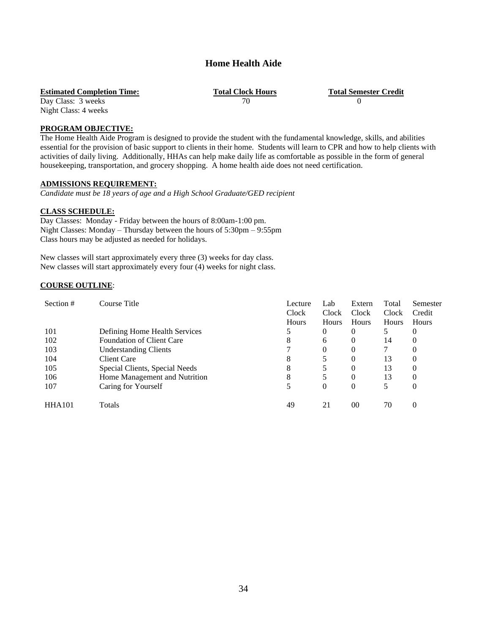## **Home Health Aide**

**Estimated Completion Time: Total Clock Hours Total Semester Credit** Day Class: 3 weeks **Total Semester Credit** 

## Day Class: 3 weeks 70 0 Night Class: 4 weeks

## **PROGRAM OBJECTIVE:**

The Home Health Aide Program is designed to provide the student with the fundamental knowledge, skills, and abilities essential for the provision of basic support to clients in their home. Students will learn to CPR and how to help clients with activities of daily living. Additionally, HHAs can help make daily life as comfortable as possible in the form of general housekeeping, transportation, and grocery shopping. A home health aide does not need certification.

## **ADMISSIONS REQUIREMENT:**

*Candidate must be 18 years of age and a High School Graduate/GED recipient*

## **CLASS SCHEDULE:**

Day Classes: Monday - Friday between the hours of 8:00am-1:00 pm. Night Classes: Monday – Thursday between the hours of 5:30pm – 9:55pm Class hours may be adjusted as needed for holidays.

New classes will start approximately every three (3) weeks for day class. New classes will start approximately every four (4) weeks for night class.

## **COURSE OUTLINE**:

| Section #     | Course Title                     | Lecture               | Lab                   | Extern<br>Clock | Total                 | Semester<br>Credit |
|---------------|----------------------------------|-----------------------|-----------------------|-----------------|-----------------------|--------------------|
|               |                                  | Clock<br><b>Hours</b> | Clock<br><b>Hours</b> | Hours           | Clock<br><b>Hours</b> | Hours              |
| 101           | Defining Home Health Services    |                       | $\theta$              | $\theta$        | 5                     | $\theta$           |
| 102           | <b>Foundation of Client Care</b> | 8                     |                       |                 |                       |                    |
|               |                                  |                       | 6                     | $\theta$        | 14                    | $\theta$           |
| 103           | <b>Understanding Clients</b>     |                       | $\theta$              | $\theta$        |                       | $\Omega$           |
| 104           | <b>Client Care</b>               | 8                     | 5                     | $\Omega$        | 13                    | $\theta$           |
| 105           | Special Clients, Special Needs   | 8                     | 5                     | 0               | 13                    | $\theta$           |
| 106           | Home Management and Nutrition    | 8                     | 5                     | 0               | 13                    | $\Omega$           |
| 107           | Caring for Yourself              |                       | $\theta$              | 0               | 5                     | $\theta$           |
| <b>HHA101</b> | Totals                           | 49                    | 21                    | 0 <sup>0</sup>  | 70                    | $\Omega$           |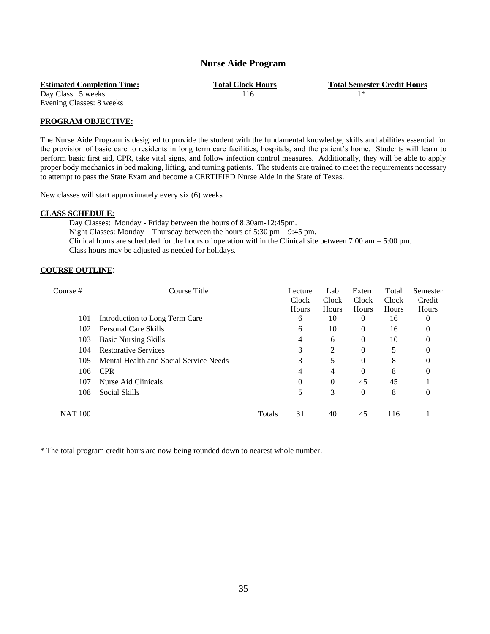## **Nurse Aide Program**

<span id="page-38-0"></span>Day Class: 5 weeks  $116$  1\*

**Estimated Completion Time: Total Clock Hours Total Semester Credit Hours**

Evening Classes: 8 weeks

## **PROGRAM OBJECTIVE:**

The Nurse Aide Program is designed to provide the student with the fundamental knowledge, skills and abilities essential for the provision of basic care to residents in long term care facilities, hospitals, and the patient's home. Students will learn to perform basic first aid, CPR, take vital signs, and follow infection control measures. Additionally, they will be able to apply proper body mechanics in bed making, lifting, and turning patients. The students are trained to meet the requirements necessary to attempt to pass the State Exam and become a CERTIFIED Nurse Aide in the State of Texas.

New classes will start approximately every six (6) weeks

## **CLASS SCHEDULE:**

Day Classes: Monday - Friday between the hours of 8:30am-12:45pm. Night Classes: Monday – Thursday between the hours of 5:30 pm – 9:45 pm. Clinical hours are scheduled for the hours of operation within the Clinical site between 7:00 am  $-5:00$  pm. Class hours may be adjusted as needed for holidays.

## **COURSE OUTLINE**:

| Course #       | Course Title                           |        | Lecture      | Lab          | Extern   | Total | Semester |
|----------------|----------------------------------------|--------|--------------|--------------|----------|-------|----------|
|                |                                        |        | <b>Clock</b> | <b>Clock</b> | Clock    | Clock | Credit   |
|                |                                        |        | Hours        | <b>Hours</b> | Hours    | Hours | Hours    |
| 101            | Introduction to Long Term Care         |        | 6            | 10           | 0        | 16    | 0        |
| 102            | <b>Personal Care Skills</b>            |        | 6            | 10           | $\theta$ | 16    | 0        |
| 103            | <b>Basic Nursing Skills</b>            |        | 4            | 6            | $\theta$ | 10    | 0        |
| 104            | <b>Restorative Services</b>            |        | 3            | 2            | 0        | 5     | 0        |
| 105            | Mental Health and Social Service Needs |        | 3            | 5            | $\Omega$ | 8     | 0        |
| 106            | <b>CPR</b>                             |        | 4            | 4            | $\Omega$ | 8     | 0        |
| 107            | Nurse Aid Clinicals                    |        | 0            | $\Omega$     | 45       | 45    |          |
| 108            | Social Skills                          |        |              | 3            | $\theta$ | 8     | $\Omega$ |
| <b>NAT 100</b> |                                        | Totals | 31           | 40           | 45       | 116   |          |

\* The total program credit hours are now being rounded down to nearest whole number.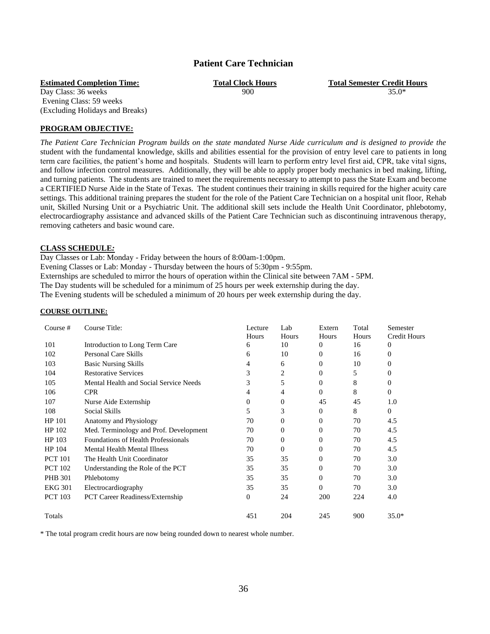## **Patient Care Technician**

Day Class: 36 weeks  $900$  35.0\* Evening Class: 59 weeks (Excluding Holidays and Breaks)

**PROGRAM OBJECTIVE:** 

*The Patient Care Technician Program builds on the state mandated Nurse Aide curriculum and is designed to provide the*  student with the fundamental knowledge, skills and abilities essential for the provision of entry level care to patients in long term care facilities, the patient's home and hospitals. Students will learn to perform entry level first aid, CPR, take vital signs, and follow infection control measures. Additionally, they will be able to apply proper body mechanics in bed making, lifting, and turning patients. The students are trained to meet the requirements necessary to attempt to pass the State Exam and become a CERTIFIED Nurse Aide in the State of Texas. The student continues their training in skills required for the higher acuity care settings. This additional training prepares the student for the role of the Patient Care Technician on a hospital unit floor, Rehab unit, Skilled Nursing Unit or a Psychiatric Unit. The additional skill sets include the Health Unit Coordinator, phlebotomy, electrocardiography assistance and advanced skills of the Patient Care Technician such as discontinuing intravenous therapy, removing catheters and basic wound care.

## **CLASS SCHEDULE***:*

Day Classes or Lab: Monday - Friday between the hours of 8:00am-1:00pm.

Evening Classes or Lab: Monday - Thursday between the hours of 5:30pm - 9:55pm.

Externships are scheduled to mirror the hours of operation within the Clinical site between 7AM - 5PM.

The Day students will be scheduled for a minimum of 25 hours per week externship during the day.

The Evening students will be scheduled a minimum of 20 hours per week externship during the day.

### **COURSE OUTLINE:**

| Course#        | Course Title:                          | Lecture<br>Hours | Lab<br>Hours | Extern<br>Hours | Total<br>Hours | Semester<br><b>Credit Hours</b> |
|----------------|----------------------------------------|------------------|--------------|-----------------|----------------|---------------------------------|
| 101            | Introduction to Long Term Care         | 6                | 10           | 0               | 16             | $\overline{0}$                  |
| 102            | Personal Care Skills                   | 6                | 10           | $\Omega$        | 16             | $\Omega$                        |
| 103            | <b>Basic Nursing Skills</b>            | 4                | 6            | $\overline{0}$  | 10             | 0                               |
| 104            | <b>Restorative Services</b>            | 3                | 2            | $\Omega$        | 5              | $\theta$                        |
| 105            | Mental Health and Social Service Needs | 3                | 5            | $\overline{0}$  | 8              | $\overline{0}$                  |
| 106            | <b>CPR</b>                             | 4                | 4            | $\Omega$        | 8              | $\overline{0}$                  |
| 107            | Nurse Aide Externship                  | $\mathbf{0}$     | $\mathbf{0}$ | 45              | 45             | 1.0                             |
| 108            | Social Skills                          | 5                | 3            | 0               | 8              | $\overline{0}$                  |
| HP 101         | Anatomy and Physiology                 | 70               | $\Omega$     | $\Omega$        | 70             | 4.5                             |
| HP 102         | Med. Terminology and Prof. Development | 70               | 0            | $\overline{0}$  | 70             | 4.5                             |
| HP 103         | Foundations of Health Professionals    | 70               | $\Omega$     | $\Omega$        | 70             | 4.5                             |
| HP 104         | <b>Mental Health Mental Illness</b>    | 70               | $\Omega$     | $\overline{0}$  | 70             | 4.5                             |
| <b>PCT 101</b> | The Health Unit Coordinator            | 35               | 35           | $\Omega$        | 70             | 3.0                             |
| <b>PCT 102</b> | Understanding the Role of the PCT      | 35               | 35           | $\overline{0}$  | 70             | 3.0                             |
| <b>PHB 301</b> | Phlebotomy                             | 35               | 35           | $\Omega$        | 70             | 3.0                             |
| <b>EKG 301</b> | Electrocardiography                    | 35               | 35           | $\Omega$        | 70             | 3.0                             |
| <b>PCT 103</b> | <b>PCT Career Readiness/Externship</b> | $\boldsymbol{0}$ | 24           | 200             | 224            | 4.0                             |
| Totals         |                                        | 451              | 204          | 245             | 900            | $35.0*$                         |

\* The total program credit hours are now being rounded down to nearest whole number.

36

<span id="page-39-0"></span>**Estimated Completion Time: Total Clock Hours Total Semester Credit Hours**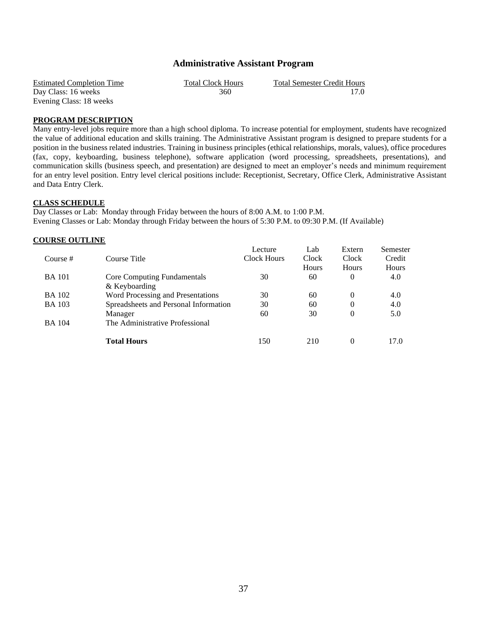## **Administrative Assistant Program**

| <b>Estimated Completion Time</b> | <b>Total Clock Hours</b> | Total Semester Credit Hours |
|----------------------------------|--------------------------|-----------------------------|
| Day Class: 16 weeks              | 360                      | 17.0                        |
| Evening Class: 18 weeks          |                          |                             |

## **PROGRAM DESCRIPTION**

Many entry-level jobs require more than a high school diploma. To increase potential for employment, students have recognized the value of additional education and skills training. The Administrative Assistant program is designed to prepare students for a position in the business related industries. Training in business principles (ethical relationships, morals, values), office procedures (fax, copy, keyboarding, business telephone), software application (word processing, spreadsheets, presentations), and communication skills (business speech, and presentation) are designed to meet an employer's needs and minimum requirement for an entry level position. Entry level clerical positions include: Receptionist, Secretary, Office Clerk, Administrative Assistant and Data Entry Clerk.

## **CLASS SCHEDULE**

Day Classes or Lab: Monday through Friday between the hours of 8:00 A.M. to 1:00 P.M. Evening Classes or Lab: Monday through Friday between the hours of 5:30 P.M. to 09:30 P.M. (If Available)

## **COURSE OUTLINE**

|               |                                       | Lecture     | Lab   | Extern       | Semester |
|---------------|---------------------------------------|-------------|-------|--------------|----------|
| Course #      | Course Title                          | Clock Hours | Clock | <b>Clock</b> | Credit   |
|               |                                       |             | Hours | Hours        | Hours    |
| <b>BA</b> 101 | Core Computing Fundamentals           | 30          | 60    | $\Omega$     | 4.0      |
|               | & Keyboarding                         |             |       |              |          |
| <b>BA</b> 102 | Word Processing and Presentations     | 30          | 60    | $\Omega$     | 4.0      |
| <b>BA</b> 103 | Spreadsheets and Personal Information | 30          | 60    | $\Omega$     | 4.0      |
|               | Manager                               | 60          | 30    | $\theta$     | 5.0      |
| <b>BA</b> 104 | The Administrative Professional       |             |       |              |          |
|               | <b>Total Hours</b>                    | 150         | 210   | $\Omega$     | 17.0     |
|               |                                       |             |       |              |          |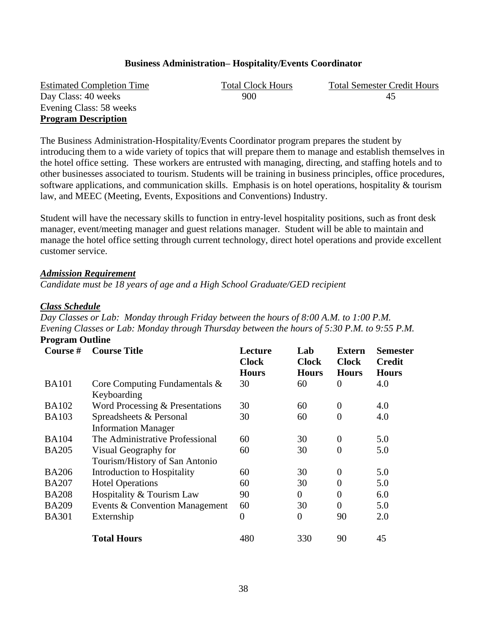## **Business Administration– Hospitality/Events Coordinator**

Day Class: 40 weeks 900 45 Evening Class: 58 weeks **Program Description**

Estimated Completion Time Total Clock Hours Total Semester Credit Hours

The Business Administration-Hospitality/Events Coordinator program prepares the student by introducing them to a wide variety of topics that will prepare them to manage and establish themselves in the hotel office setting. These workers are entrusted with managing, directing, and staffing hotels and to other businesses associated to tourism. Students will be training in business principles, office procedures, software applications, and communication skills. Emphasis is on hotel operations, hospitality & tourism law, and MEEC (Meeting, Events, Expositions and Conventions) Industry.

Student will have the necessary skills to function in entry-level hospitality positions, such as front desk manager, event/meeting manager and guest relations manager. Student will be able to maintain and manage the hotel office setting through current technology, direct hotel operations and provide excellent customer service.

## *Admission Requirement*

*Candidate must be 18 years of age and a High School Graduate/GED recipient*

## *Class Schedule*

*Day Classes or Lab: Monday through Friday between the hours of 8:00 A.M. to 1:00 P.M. Evening Classes or Lab: Monday through Thursday between the hours of 5:30 P.M. to 9:55 P.M.* **Program Outline**

| Course #     | <b>Course Title</b>                                    | Lecture<br><b>Clock</b><br><b>Hours</b> | Lab<br><b>Clock</b><br><b>Hours</b> | <b>Extern</b><br><b>Clock</b><br><b>Hours</b> | <b>Semester</b><br><b>Credit</b><br><b>Hours</b> |
|--------------|--------------------------------------------------------|-----------------------------------------|-------------------------------------|-----------------------------------------------|--------------------------------------------------|
| <b>BA101</b> | Core Computing Fundamentals $\&$<br>Keyboarding        | 30                                      | 60                                  | 0                                             | 4.0                                              |
| <b>BA102</b> | Word Processing & Presentations                        | 30                                      | 60                                  | $\overline{0}$                                | 4.0                                              |
| <b>BA103</b> | Spreadsheets & Personal<br><b>Information Manager</b>  | 30                                      | 60                                  | $\overline{0}$                                | 4.0                                              |
| <b>BA104</b> | The Administrative Professional                        | 60                                      | 30                                  | $\overline{0}$                                | 5.0                                              |
| <b>BA205</b> | Visual Geography for<br>Tourism/History of San Antonio | 60                                      | 30                                  | $\overline{0}$                                | 5.0                                              |
| <b>BA206</b> | Introduction to Hospitality                            | 60                                      | 30                                  | $\overline{0}$                                | 5.0                                              |
| <b>BA207</b> | <b>Hotel Operations</b>                                | 60                                      | 30                                  | $\overline{0}$                                | 5.0                                              |
| <b>BA208</b> | Hospitality & Tourism Law                              | 90                                      | $\theta$                            | $\overline{0}$                                | 6.0                                              |
| <b>BA209</b> | Events & Convention Management                         | 60                                      | 30                                  | $\overline{0}$                                | 5.0                                              |
| <b>BA301</b> | Externship                                             | $\overline{0}$                          | $\overline{0}$                      | 90                                            | 2.0                                              |
|              | <b>Total Hours</b>                                     | 480                                     | 330                                 | 90                                            | 45                                               |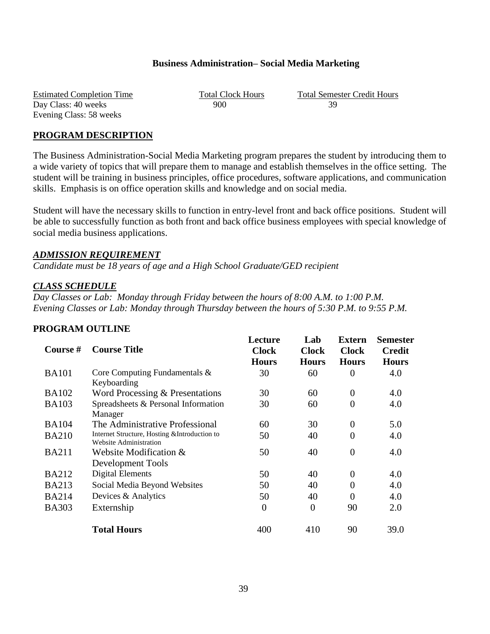## **Business Administration– Social Media Marketing**

Estimated Completion Time<br>
Day Class: 40 weeks<br>  $\begin{array}{r} \text{Total Clock Hours} \\ \text{Day Class: } 40 \text{ weeks} \end{array}$   $\begin{array}{r} \text{Total Semester Credit Hours} \\ \text{900} \end{array}$ Day Class: 40 weeks 900 Evening Class: 58 weeks

## **PROGRAM DESCRIPTION**

The Business Administration-Social Media Marketing program prepares the student by introducing them to a wide variety of topics that will prepare them to manage and establish themselves in the office setting. The student will be training in business principles, office procedures, software applications, and communication skills. Emphasis is on office operation skills and knowledge and on social media.

Student will have the necessary skills to function in entry-level front and back office positions. Student will be able to successfully function as both front and back office business employees with special knowledge of social media business applications.

## *ADMISSION REQUIREMENT*

*Candidate must be 18 years of age and a High School Graduate/GED recipient*

## *CLASS SCHEDULE*

*Day Classes or Lab: Monday through Friday between the hours of 8:00 A.M. to 1:00 P.M. Evening Classes or Lab: Monday through Thursday between the hours of 5:30 P.M. to 9:55 P.M.*

## **PROGRAM OUTLINE**

| Course #     | <b>Course Title</b>                                                            | Lecture<br><b>Clock</b> | Lab<br><b>Clock</b> | <b>Extern</b><br><b>Clock</b> | Semester<br><b>Credit</b> |
|--------------|--------------------------------------------------------------------------------|-------------------------|---------------------|-------------------------------|---------------------------|
|              |                                                                                | <b>Hours</b>            | <b>Hours</b>        | <b>Hours</b>                  | <b>Hours</b>              |
| <b>BA101</b> | Core Computing Fundamentals &<br>Keyboarding                                   | 30                      | 60                  | $\boldsymbol{0}$              | 4.0                       |
| <b>BA102</b> | Word Processing & Presentations                                                | 30                      | 60                  | $\overline{0}$                | 4.0                       |
| <b>BA103</b> | Spreadsheets & Personal Information<br>Manager                                 | 30                      | 60                  | $\overline{0}$                | 4.0                       |
| <b>BA104</b> | The Administrative Professional                                                | 60                      | 30                  | $\boldsymbol{0}$              | 5.0                       |
| <b>BA210</b> | Internet Structure, Hosting & Introduction to<br><b>Website Administration</b> | 50                      | 40                  | $\overline{0}$                | 4.0                       |
| <b>BA211</b> | Website Modification $&$<br><b>Development Tools</b>                           | 50                      | 40                  | $\overline{0}$                | 4.0                       |
| <b>BA212</b> | Digital Elements                                                               | 50                      | 40                  | $\boldsymbol{0}$              | 4.0                       |
| <b>BA213</b> | Social Media Beyond Websites                                                   | 50                      | 40                  | $\overline{0}$                | 4.0                       |
| <b>BA214</b> | Devices & Analytics                                                            | 50                      | 40                  | $\overline{0}$                | 4.0                       |
| <b>BA303</b> | Externship                                                                     | $\boldsymbol{0}$        | $\overline{0}$      | 90                            | 2.0                       |
|              | <b>Total Hours</b>                                                             | 400                     | 410                 | 90                            | 39.0                      |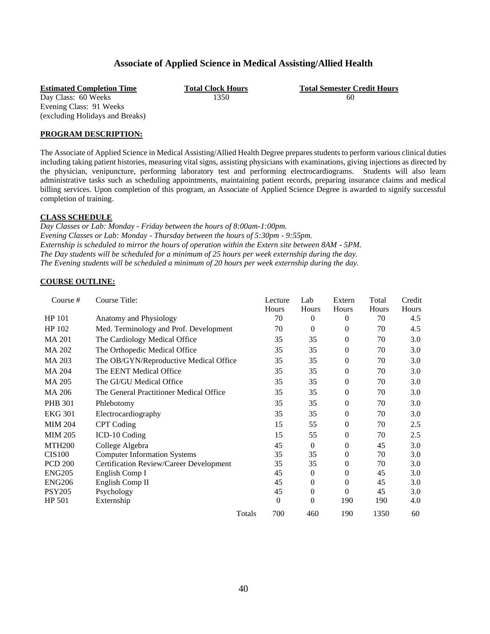## **Associate of Applied Science in Medical Assisting/Allied Health**

Day Class: 60 Weeks 1350 60 Evening Class: 91 Weeks (excluding Holidays and Breaks)

**Estimated Completion Time Total Clock Hours Total Semester Credit Hours**

## **PROGRAM DESCRIPTION:**

The Associate of Applied Science in Medical Assisting/Allied Health Degree prepares students to perform various clinical duties including taking patient histories, measuring vital signs, assisting physicians with examinations, giving injections as directed by the physician, venipuncture, performing laboratory test and performing electrocardiograms. Students will also learn administrative tasks such as scheduling appointments, maintaining patient records, preparing insurance claims and medical billing services. Upon completion of this program, an Associate of Applied Science Degree is awarded to signify successful completion of training.

## **CLASS SCHEDULE**

*Day Classes or Lab: Monday - Friday between the hours of 8:00am-1:00pm. Evening Classes or Lab: Monday - Thursday between the hours of 5:30pm - 9:55pm. Externship is scheduled to mirror the hours of operation within the Extern site between 8AM - 5PM. The Day students will be scheduled for a minimum of 25 hours per week externship during the day. The Evening students will be scheduled a minimum of 20 hours per week externship during the day.*

## **COURSE OUTLINE:**

| Course #       | Course Title:                           | Lecture          | Lab      | Extern       | Total        | Credit |
|----------------|-----------------------------------------|------------------|----------|--------------|--------------|--------|
|                |                                         | Hours            | Hours    | Hours        | <b>Hours</b> | Hours  |
| HP 101         | Anatomy and Physiology                  | 70               | $\theta$ | $\theta$     | 70           | 4.5    |
| HP 102         | Med. Terminology and Prof. Development  | 70               | $\Omega$ | $\theta$     | 70           | 4.5    |
| <b>MA 201</b>  | The Cardiology Medical Office           | 35               | 35       | $\theta$     | 70           | 3.0    |
| <b>MA 202</b>  | The Orthopedic Medical Office           | 35               | 35       | $\theta$     | 70           | 3.0    |
| MA 203         | The OB/GYN/Reproductive Medical Office  | 35               | 35       | $\Omega$     | 70           | 3.0    |
| <b>MA 204</b>  | The EENT Medical Office                 | 35               | 35       | $\mathbf{0}$ | 70           | 3.0    |
| <b>MA 205</b>  | The GI/GU Medical Office                | 35               | 35       | $\theta$     | 70           | 3.0    |
| MA 206         | The General Practitioner Medical Office | 35               | 35       | $\theta$     | 70           | 3.0    |
| <b>PHB 301</b> | Phlebotomy                              | 35               | 35       | $\theta$     | 70           | 3.0    |
| <b>EKG 301</b> | Electrocardiography                     | 35               | 35       | $\theta$     | 70           | 3.0    |
| <b>MIM 204</b> | <b>CPT</b> Coding                       | 15               | 55       | $\theta$     | 70           | 2.5    |
| <b>MIM 205</b> | ICD-10 Coding                           | 15               | 55       | $\Omega$     | 70           | 2.5    |
| <b>MTH200</b>  | College Algebra                         | 45               | $\Omega$ | $\theta$     | 45           | 3.0    |
| <b>CIS100</b>  | <b>Computer Information Systems</b>     | 35               | 35       | $\theta$     | 70           | 3.0    |
| <b>PCD 200</b> | Certification Review/Career Development | 35               | 35       | $\theta$     | 70           | 3.0    |
| <b>ENG205</b>  | English Comp I                          | 45               | $\theta$ | $\theta$     | 45           | 3.0    |
| <b>ENG206</b>  | English Comp II                         | 45               | $\theta$ | $\Omega$     | 45           | 3.0    |
| <b>PSY205</b>  | Psychology                              | 45               | $\Omega$ | $\theta$     | 45           | 3.0    |
| HP 501         | Externship                              | $\boldsymbol{0}$ | $\Omega$ | 190          | 190          | 4.0    |
|                | Totals                                  | 700              | 460      | 190          | 1350         | 60     |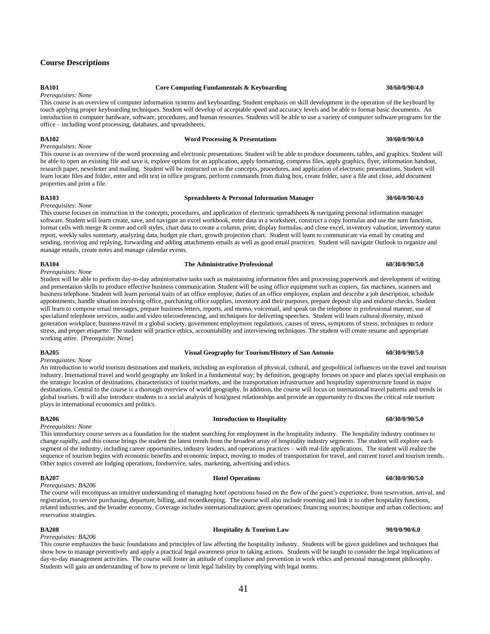## <span id="page-44-0"></span>**Course Descriptions**

## *Prerequisites: None*

## **BA101 Core Computing Fundamentals & Keyboarding 30/60/0/90/4.0**

This course is an overview of computer information systems and keyboarding. Student emphasis on skill development in the operation of the keyboard by touch applying proper keyboarding techniques. Student will develop of acceptable speed and accuracy levels and be able to format basic documents. An introduction to computer hardware, software, procedures, and human resources. Students will be able to use a variety of computer software programs for the office – including word processing, databases, and spreadsheets.

*Prerequisites: None*

*Prerequisites: None*

This course is an overview of the word processing and electronic presentations. Student will be able to produce documents, tables, and graphics. Student will be able to open an existing file and save it, explore options for an application, apply formatting, compress files, apply graphics, flyer, information handout, research paper, newsletter and mailing. Student will be instructed on in the concepts, procedures, and application of electronic presentations. Student will learn locate files and folder, enter and edit text in office program, perform commands from dialog box, create folder, save a file and close, add document properties and print a file.

### **BA103 Spreadsheets & Personal Information Manager 30/60/0/90/4.0**

### This course focuses on instruction in the concepts, procedures, and application of electronic spreadsheets & navigating personal information manager software. Student will learn create, save, and navigate an excel workbook, enter data in a worksheet, construct a copy formulas and use the sum function, format cells with merge & center and cell styles, chart data to create a column, print, display formulas, and close excel, inventory valuation, inventory status report, weekly sales summary, analyzing data, budget pie chart, growth projection chart. Student will learn to communicate via email by creating and sending, receiving and replying, forwarding and adding attachments emails as well as good email practices. Student will navigate Outlook to organize and manage emails, create notes and manage calendar events.

### **BA104 The Administrative Professional 60/30/0/90/5.0**

### *Prerequisites: None*

Student will be able to perform day-to-day administrative tasks such as maintaining information files and processing paperwork and development of writing and presentation skills to produce effective business communication. Student will be using office equipment such as copiers, fax machines, scanners and business telephone. Student will learn personal traits of an office employee, duties of an office employee, explain and describe a job description, schedule appointments, handle situation involving office, purchasing office supplies, inventory and their purposes, prepare deposit slip and endorse checks. Student will learn to compose email messages, prepare business letters, reports, and memo, voicemail, and speak on the telephone in professional manner, use of specialized telephone services, audio and video teleconferencing, and techniques for delivering speeches. Student will learn cultural diversity, mixed generation workplace, business travel in a global society, government employment regulations, causes of stress, symptoms of stress, techniques to reduce stress, and proper etiquette. The student will practice ethics, accountability and interviewing techniques. The student will create resume and appropriate working attire. [Prerequisite: None]

### **BA205 Visual Geography for Tourism/History of San Antonio 60/30/0/90/5.0**

*Prerequisites: None*

An introduction to world tourism destinations and markets, including an exploration of physical, cultural, and geopolitical influences on the travel and tourism industry. International travel and world geography are linked in a fundamental way; by definition, geography focuses on space and places special emphasis on the strategic location of destinations, characteristics of tourist markets, and the transportation infrastructure and hospitality superstructure found in major destinations. Central to the course is a thorough overview of world geography. In addition, the course will focus on international travel patterns and trends in global tourism. It will also introduce students to a social analysis of host/guest relationships and provide an opportunity to discuss the critical role tourism plays in international economics and politics.

### *Prerequisites: None*

This introductory course serves as a foundation for the student searching for employment in the hospitality industry. The hospitality industry continues to change rapidly, and this course brings the student the latest trends from the broadest array of hospitality industry segments. The student will explore each segment of the industry, including career opportunities, industry leaders, and operations practices – with real-life applications. The student will realize the sequence of tourism begins with economic benefits and economic impact, moving to modes of transportation for travel, and current travel and tourism trends. Other topics covered are lodging operations, foodservice, sales, marketing, advertising and ethics.

### *Prerequisites: BA206*

The course will encompass an intuitive understanding of managing hotel operations based on the flow of the guest's experience, from reservation, arrival, and registration, to service purchasing, departure, billing, and recordkeeping. The course will also include rooming and link it to other hospitality functions, related industries, and the broader economy. Coverage includes internationalization; green operations; financing sources; boutique and urban collections; and reservation strategies.

### **BA208 Hospitality & Tourism Law 90/0/0/90/6.0**

*Prerequisites: BA206*

This course emphasizes the basic foundations and principles of law affecting the hospitality industry. Students will be given guidelines and techniques that show how to manage preventively and apply a practical legal awareness prior to taking actions. Students will be taught to consider the legal implications of day-to-day management activities. The course will foster an attitude of compliance and prevention in work ethics and personal management philosophy. Students will gain an understanding of how to prevent or limit legal liability by complying with legal norms.

## **BA206 Introduction to Hospitality 60/30/0/90/5.0**

## **BA207 Hotel Operations 60/30/0/90/5.0**

**BA102 Word Processing & Presentations 30/60/0/90/4.0**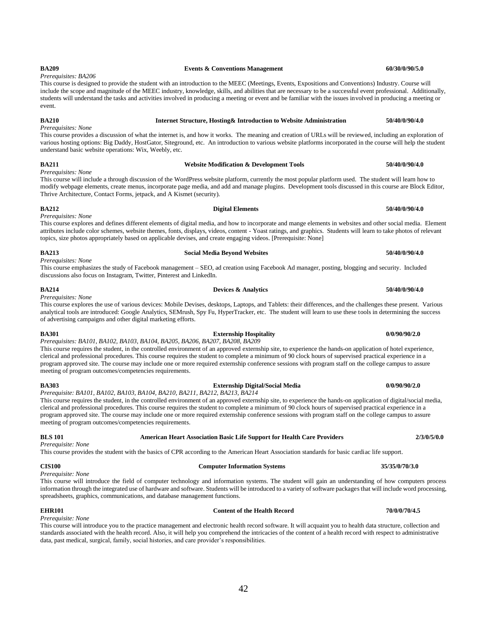## *Prerequisites: BA206*

This course is designed to provide the student with an introduction to the MEEC (Meetings, Events, Expositions and Conventions) Industry. Course will include the scope and magnitude of the MEEC industry, knowledge, skills, and abilities that are necessary to be a successful event professional. Additionally, students will understand the tasks and activities involved in producing a meeting or event and be familiar with the issues involved in producing a meeting or event.

**BA209 Events & Conventions Management 60/30/0/90/5.0**

### **BA210 Internet Structure, Hosting& Introduction to Website Administration 50/40/0/90/4.0**

*Prerequisites: None* This course provides a discussion of what the internet is, and how it works. The meaning and creation of URLs will be reviewed, including an exploration of various hosting options: Big Daddy, HostGator, Siteground, etc. An introduction to various website platforms incorporated in the course will help the student understand basic website operations: Wix, Weebly, etc.

## *Prerequisites: None*

This course will include a through discussion of the WordPress website platform, currently the most popular platform used. The student will learn how to modify webpage elements, create menus, incorporate page media, and add and manage plugins. Development tools discussed in this course are Block Editor, Thrive Architecture, Contact Forms, jetpack, and A Kismet (security).

### **BA212 Digital Elements 50/40/0/90/4.0**

*Prerequisites: None*

This course explores and defines different elements of digital media, and how to incorporate and mange elements in websites and other social media. Element attributes include color schemes, website themes, fonts, displays, videos, content - Yoast ratings, and graphics. Students will learn to take photos of relevant topics, size photos appropriately based on applicable devises, and create engaging videos. [Prerequisite: None]

*Prerequisites: None* This course emphasizes the study of Facebook management – SEO, ad creation using Facebook Ad manager, posting, blogging and security. Included discussions also focus on Instagram, Twitter, Pinterest and LinkedIn.

This course explores the use of various devices: Mobile Devises, desktops, Laptops, and Tablets: their differences, and the challenges these present. Various analytical tools are introduced: Google Analytics, SEMrush, Spy Fu, HyperTracker, etc. The student will learn to use these tools in determining the success of advertising campaigns and other digital marketing efforts.

*Prerequisites: BA101, BA102, BA103, BA104, BA205, BA206, BA207, BA208, BA209*

This course requires the student, in the controlled environment of an approved externship site, to experience the hands-on application of hotel experience, clerical and professional procedures. This course requires the student to complete a minimum of 90 clock hours of supervised practical experience in a program approved site. The course may include one or more required externship conference sessions with program staff on the college campus to assure meeting of program outcomes/competencies requirements.

*Prerequisite: BA101, BA102, BA103, BA104, BA210, BA211, BA212, BA213, BA214* This course requires the student, in the controlled environment of an approved externship site, to experience the hands-on application of digital/social media, clerical and professional procedures. This course requires the student to complete a minimum of 90 clock hours of supervised practical experience in a program approved site. The course may include one or more required externship conference sessions with program staff on the college campus to assure meeting of program outcomes/competencies requirements.

**BLS 101 American Heart Association Basic Life Support for Health Care Providers 2/3/0/5/0.0** *Prerequisite: None*

This course provides the student with the basics of CPR according to the American Heart Association standards for basic cardiac life support.

*Prerequisite: None*

This course will introduce the field of computer technology and information systems. The student will gain an understanding of how computers process information through the integrated use of hardware and software. Students will be introduced to a variety of software packages that will include word processing, spreadsheets, graphics, communications, and database management functions.

### **EHR101 Content of the Health Record 70/0/0/70/4.5**

*Prerequisite: None*

This course will introduce you to the practice management and electronic health record software. It will acquaint you to health data structure, collection and standards associated with the health record. Also, it will help you comprehend the intricacies of the content of a health record with respect to administrative data, past medical, surgical, family, social histories, and care provider's responsibilities.

*Prerequisites: None*

### **BA301 Externship Hospitality 0/0/90/90/2.0**

## **BA211 Website Modification & Development Tools 50/40/0/90/4.0**

**BA213 Social Media Beyond Websites 50/40/0/90/4.0**

## **CIS100 Computer Information Systems 35/35/0/70/3.0**

## **BA214 Devices & Analytics 50/40/0/90/4.0**

- 
- **BA303 Externship Digital/Social Media 0/0/90/90/2.0**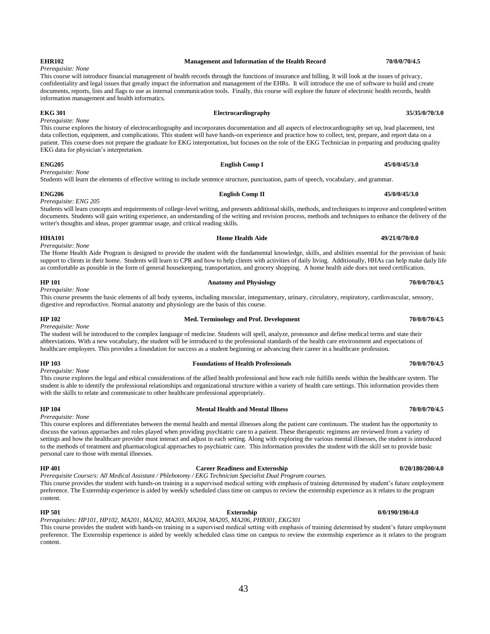### **EHR102 Management and Information of the Health Record 70/0/0/70/4.5**

### This course will introduce financial management of health records through the functions of insurance and billing. It will look at the issues of privacy, confidentiality and legal issues that greatly impact the information and management of the EHRs. It will introduce the use of software to build and create documents, reports, lists and flags to use as internal communication tools. Finally, this course will explore the future of electronic health records, health information management and health informatics.

### **EKG 301 Electrocardiography 35/35/0/70/3.0**

*Prerequisite: None*

*Prerequisite: None*

*Prerequisite: None*

This course explores the history of electrocardiography and incorporates documentation and all aspects of electrocardiography set up, lead placement, test data collection, equipment, and complications. This student will have hands-on experience and practice how to collect, test, prepare, and report data on a patient. This course does not prepare the graduate for EKG interpretation, but focuses on the role of the EKG Technician in preparing and producing quality EKG data for physician's interpretation.

### **ENG205 English Comp I 45/0/0/45/3.0**

Students will learn the elements of effective writing to include sentence structure, punctuation, parts of speech, vocabulary, and grammar.

### **ENG206 English Comp II 45/0/0/45/3.0**

*Prerequisite: ENG 205*

Students will learn concepts and requirements of college-level writing, and presents additional skills, methods, and techniques to improve and completed written documents. Students will gain writing experience, an understanding of the writing and revision process, methods and techniques to enhance the delivery of the writer's thoughts and ideas, proper grammar usage, and critical reading skills.

**HHA101 Home Health Aide 49/21/0/70/0.0**

### *Prerequisite: None* The Home Health Aide Program is designed to provide the student with the fundamental knowledge, skills, and abilities essential for the provision of basic support to clients in their home. Students will learn to CPR and how to help clients with activities of daily living. Additionally, HHAs can help make daily life as comfortable as possible in the form of general housekeeping, transportation, and grocery shopping. A home health aide does not need certification.

*Prerequisite: None*

This course presents the basic elements of all body systems, including muscular, integumentary, urinary, circulatory, respiratory, cardiovascular, sensory, digestive and reproductive. Normal anatomy and physiology are the basis of this course.

**HP 102 Med. Terminology and Prof. Development 70/0/0/70/4.5**

*Prerequisite: None* The student will be introduced to the complex language of medicine. Students will spell, analyze, pronounce and define medical terms and state their abbreviations. With a new vocabulary, the student will be introduced to the professional standards of the health care environment and expectations of healthcare employers. This provides a foundation for success as a student beginning or advancing their career in a healthcare profession.

*Prerequisite: None* This course explores the legal and ethical considerations of the allied health professional and how each role fulfills needs within the healthcare system. The student is able to identify the professional relationships and organizational structure within a variety of health care settings. This information provides them with the skills to relate and communicate to other healthcare professional appropriately.

### **HP 104 Mental Health and Mental Illness 70/0/0/70/4.5**

*Prerequisite: None*

This course explores and differentiates between the mental health and mental illnesses along the patient care continuum. The student has the opportunity to discuss the various approaches and roles played when providing psychiatric care to a patient. These therapeutic regimens are reviewed from a variety of settings and how the healthcare provider must interact and adjust in each setting. Along with exploring the various mental illnesses, the student is introduced to the methods of treatment and pharmacological approaches to psychiatric care. This information provides the student with the skill set to provide basic personal care to those with mental illnesses.

### **HP 401 Career Readiness and Externship 0/20/180/200/4.0**

*Prerequisite Course/s: All Medical Assistant / Phlebotomy / EKG Technician Specialist Dual Program courses.*  This course provides the student with hands-on training in a supervised medical setting with emphasis of training determined by student's future employment preference. The Externship experience is aided by weekly scheduled class time on campus to review the externship experience as it relates to the program content.

**HP 501 Externship 0/0/190/190/4.0** *Prerequisites: HP101, HP102, MA201, MA202, MA203, MA204, MA205, MA206, PHB301, EKG301*

This course provides the student with hands-on training in a supervised medical setting with emphasis of training determined by student's future employment preference. The Externship experience is aided by weekly scheduled class time on campus to review the externship experience as it relates to the program content.

## **HP 103 Foundations of Health Professionals 70/0/0/70/4.5**

**HP 101 Anatomy and Physiology 70/0/0/70/4.5**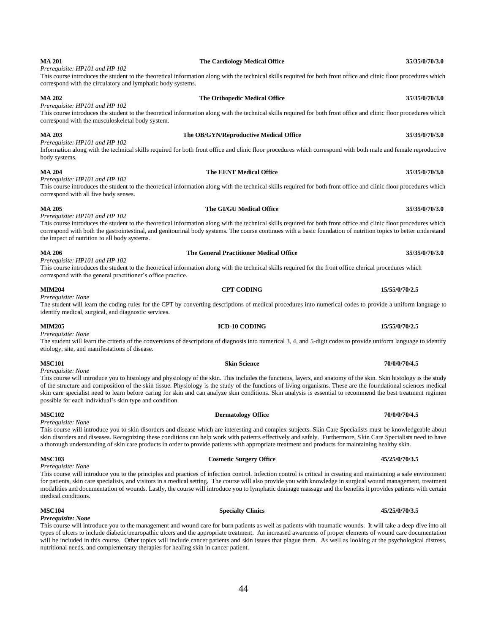### **MA 201 The Cardiology Medical Office 35/35/0/70/3.0** *Prerequisite: HP101 and HP 102*

This course introduces the student to the theoretical information along with the technical skills required for both front office and clinic floor procedures which correspond with the circulatory and lymphatic body systems.

## **MA 202 The Orthopedic Medical Office 35/35/0/70/3.0**

## *Prerequisite: HP101 and HP 102*

This course introduces the student to the theoretical information along with the technical skills required for both front office and clinic floor procedures which correspond with the musculoskeletal body system.

*Prerequisite: HP101 and HP 102*

Information along with the technical skills required for both front office and clinic floor procedures which correspond with both male and female reproductive body systems.

### **MA 204 The EENT Medical Office 35/35/0/70/3.0**

## *Prerequisite: HP101 and HP 102*

This course introduces the student to the theoretical information along with the technical skills required for both front office and clinic floor procedures which correspond with all five body senses.

## **MA 205 The GI/GU Medical Office 35/35/0/70/3.0**

### *Prerequisite: HP101 and HP 102*

This course introduces the student to the theoretical information along with the technical skills required for both front office and clinic floor procedures which correspond with both the gastrointestinal, and genitourinal body systems. The course continues with a basic foundation of nutrition topics to better understand the impact of nutrition to all body systems.

### **MA 206 The General Practitioner Medical Office 35/35/0/70/3.0**

*Prerequisite: HP101 and HP 102*

This course introduces the student to the theoretical information along with the technical skills required for the front office clerical procedures which correspond with the general practitioner's office practice.

**MIM205 ICD-10 CODING 15/55/0/70/2.5** 

### **MIM204 CPT CODING 15/55/0/70/2.5**

## *Prerequisite: None*

The student will learn the coding rules for the CPT by converting descriptions of medical procedures into numerical codes to provide a uniform language to identify medical, surgical, and diagnostic services.

*Prerequisite: None* The student will learn the criteria of the conversions of descriptions of diagnosis into numerical 3, 4, and 5-digit codes to provide uniform language to identify etiology, site, and manifestations of disease.

**MSC101 Skin Science 70/0/0/70/4.5** *Prerequisite: None*

This course will introduce you to histology and physiology of the skin. This includes the functions, layers, and anatomy of the skin. Skin histology is the study of the structure and composition of the skin tissue. Physiology is the study of the functions of living organisms. These are the foundational sciences medical skin care specialist need to learn before caring for skin and can analyze skin conditions. Skin analysis is essential to recommend the best treatment regimen possible for each individual's skin type and condition.

*Prerequisite: None* This course will introduce you to skin disorders and disease which are interesting and complex subjects. Skin Care Specialists must be knowledgeable about skin disorders and diseases. Recognizing these conditions can help work with patients effectively and safely. Furthermore, Skin Care Specialists need to have a thorough understanding of skin care products in order to provide patients with appropriate treatment and products for maintaining healthy skin.

*Prerequisite: None* This course will introduce you to the principles and practices of infection control. Infection control is critical in creating and maintaining a safe environment for patients, skin care specialists, and visitors in a medical setting. The course will also provide you with knowledge in surgical wound management, treatment modalities and documentation of wounds. Lastly, the course will introduce you to lymphatic drainage massage and the benefits it provides patients with certain medical conditions.

*Prerequisite: None* This course will introduce you to the management and wound care for burn patients as well as patients with traumatic wounds. It will take a deep dive into all types of ulcers to include diabetic/neuropathic ulcers and the appropriate treatment. An increased awareness of proper elements of wound care documentation will be included in this course. Other topics will include cancer patients and skin issues that plague them. As well as looking at the psychological distress, nutritional needs, and complementary therapies for healing skin in cancer patient.

## **MSC102 Dermatology Office 70/0/0/70/4.5**

## **MSC103 Cosmetic Surgery Office 45/25/0/70/3.5**

## **MSC104 Specialty Clinics 45/25/0/70/3.5**

**MA 203 The OB/GYN/Reproductive Medical Office 35/35/0/70/3.0**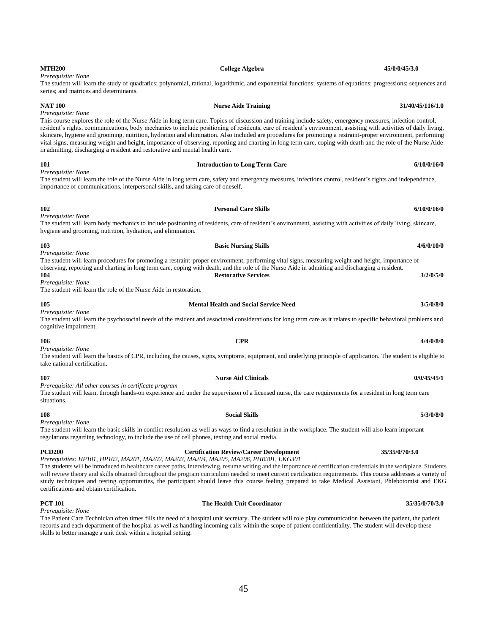| in admitting, discharging a resident and restorative and mental health care.                                         | resident's rights, communications, body mechanics to include positioning of residents, care of resident's environment, assisting with activities of daily living,<br>skincare, hygiene and grooming, nutrition, hydration and elimination. Also included are procedures for promoting a restraint-proper environment, performing<br>vital signs, measuring weight and height, importance of observing, reporting and charting in long term care, coping with death and the role of the Nurse Aide |             |
|----------------------------------------------------------------------------------------------------------------------|---------------------------------------------------------------------------------------------------------------------------------------------------------------------------------------------------------------------------------------------------------------------------------------------------------------------------------------------------------------------------------------------------------------------------------------------------------------------------------------------------|-------------|
| 101                                                                                                                  | <b>Introduction to Long Term Care</b>                                                                                                                                                                                                                                                                                                                                                                                                                                                             | 6/10/0/16/0 |
| Prerequisite: None<br>importance of communications, interpersonal skills, and taking care of oneself.                | The student will learn the role of the Nurse Aide in long term care, safety and emergency measures, infections control, resident's rights and independence,                                                                                                                                                                                                                                                                                                                                       |             |
| 102<br>Prerequisite: None                                                                                            | <b>Personal Care Skills</b>                                                                                                                                                                                                                                                                                                                                                                                                                                                                       | 6/10/0/16/0 |
| hygiene and grooming, nutrition, hydration, and elimination.                                                         | The student will learn body mechanics to include positioning of residents, care of resident's environment, assisting with activities of daily living, skincare,                                                                                                                                                                                                                                                                                                                                   |             |
| 103                                                                                                                  | <b>Basic Nursing Skills</b>                                                                                                                                                                                                                                                                                                                                                                                                                                                                       | 4/6/0/10/0  |
| Prerequisite: None<br>104<br>Prerequisite: None<br>The student will learn the role of the Nurse Aide in restoration. | The student will learn procedures for promoting a restraint-proper environment, performing vital signs, measuring weight and height, importance of<br>observing, reporting and charting in long term care, coping with death, and the role of the Nurse Aide in admitting and discharging a resident.<br><b>Restorative Services</b>                                                                                                                                                              | 3/2/0/5/0   |
| 105                                                                                                                  | <b>Mental Health and Social Service Need</b>                                                                                                                                                                                                                                                                                                                                                                                                                                                      | 3/5/0/8/0   |
| Prerequisite: None<br>cognitive impairment.                                                                          | The student will learn the psychosocial needs of the resident and associated considerations for long term care as it relates to specific behavioral problems and                                                                                                                                                                                                                                                                                                                                  |             |
| 106                                                                                                                  | <b>CPR</b>                                                                                                                                                                                                                                                                                                                                                                                                                                                                                        | 4/4/0/8/0   |
| Prerequisite: None<br>take national certification.                                                                   | The student will learn the basics of CPR, including the causes, signs, symptoms, equipment, and underlying principle of application. The student is eligible to                                                                                                                                                                                                                                                                                                                                   |             |
| 107                                                                                                                  | <b>Nurse Aid Clinicals</b>                                                                                                                                                                                                                                                                                                                                                                                                                                                                        | 0/0/45/45/1 |
| Prerequisite: All other courses in certificate program<br>situations.                                                | The student will learn, through hands-on experience and under the supervision of a licensed nurse, the care requirements for a resident in long term care                                                                                                                                                                                                                                                                                                                                         |             |
| 108                                                                                                                  | <b>Social Skills</b>                                                                                                                                                                                                                                                                                                                                                                                                                                                                              | 5/3/0/8/0   |
| Prerequisite: None                                                                                                   | The student will learn the basic skills in conflict resolution as well as ways to find a resolution in the workplace. The student will also learn important                                                                                                                                                                                                                                                                                                                                       |             |

regulations regarding technology, to include the use of cell phones, texting and social media.

The students will be introduced to healthcare career paths, interviewing, resume writing and the importance of certification credentials in the workplace. Students will review theory and skills obtained throughout the program curriculum needed to meet current certification requirements. This course addresses a variety of study techniques and testing opportunities, the participant should leave this course feeling prepared to take Medical Assistant, Phlebotomist and EKG certifications and obtain certification.

*Prerequisite: None* The Patient Care Technician often times fills the need of a hospital unit secretary. The student will role play communication between the patient, the patient records and each department of the hospital as well as handling incoming calls within the scope of patient confidentiality. The student will develop these skills to better manage a unit desk within a hospital setting.

## **MTH200 College Algebra College Algebra 45/0/0/45/3.0**

*Prerequisite: None*

### The student will learn the study of quadratics; polynomial, rational, logarithmic, and exponential functions; systems of equations; progressions; sequences and series; and matrices and determinants.

## **NAT 100 Nurse Aide Training 31/40/45/116/1.0** *Prerequisite: None* This course explores the role of the Nurse Aide in long term care. Topics of discussion and training include safety, emergency measures, infection control, resident's rights, communications, body mechanics to include positioning of residents, care of resident's environment, assisting with activities of daily living, skincare, hygiene and grooming, nutrition, hydration and elimination. Also included are procedures for promoting a restraint-proper environment, performing vital signs, measuring weight and height, importance of observing, reporting and charting in long term care, coping with death and the role of the Nurse Aide

|                                                                                                                                                 | The student will learn procedures for promoting a restraint-proper environment, performing vital signs, measuring weight and height, importance of |           |  |  |  |  |
|-------------------------------------------------------------------------------------------------------------------------------------------------|----------------------------------------------------------------------------------------------------------------------------------------------------|-----------|--|--|--|--|
| observing, reporting and charting in long term care, coping with death, and the role of the Nurse Aide in admitting and discharging a resident. |                                                                                                                                                    |           |  |  |  |  |
| 104                                                                                                                                             | <b>Restorative Services</b>                                                                                                                        | 3/2/0/5/0 |  |  |  |  |
| Prereauisite: None                                                                                                                              |                                                                                                                                                    |           |  |  |  |  |
| The student will learn the role of the Nurse Aide in restoration.                                                                               |                                                                                                                                                    |           |  |  |  |  |

# **PCD200 Certification Review/Career Development 35/35/0/70/3.0** *Prerequisites: HP101, HP102, MA201, MA202, MA203, MA204, MA205, MA206, PHB301, EKG301*

## **PCT 101 The Health Unit Coordinator 35/35/0/70/3.0**